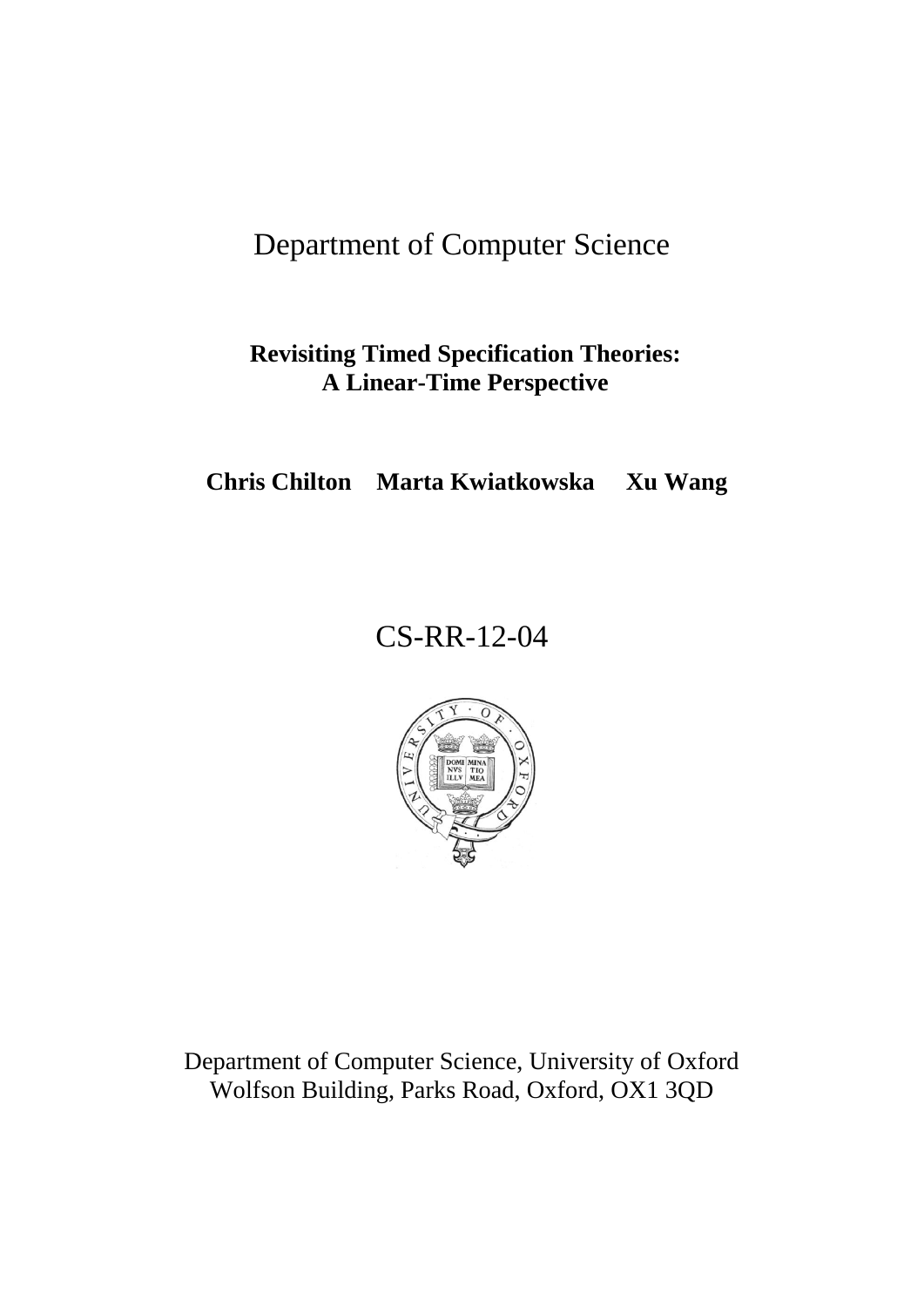# Department of Computer Science

## **Revisiting Timed Specification Theories: A Linear-Time Perspective**

## **Chris Chilton Marta Kwiatkowska Xu Wang**

# CS-RR-12-04



Department of Computer Science, University of Oxford Wolfson Building, Parks Road, Oxford, OX1 3QD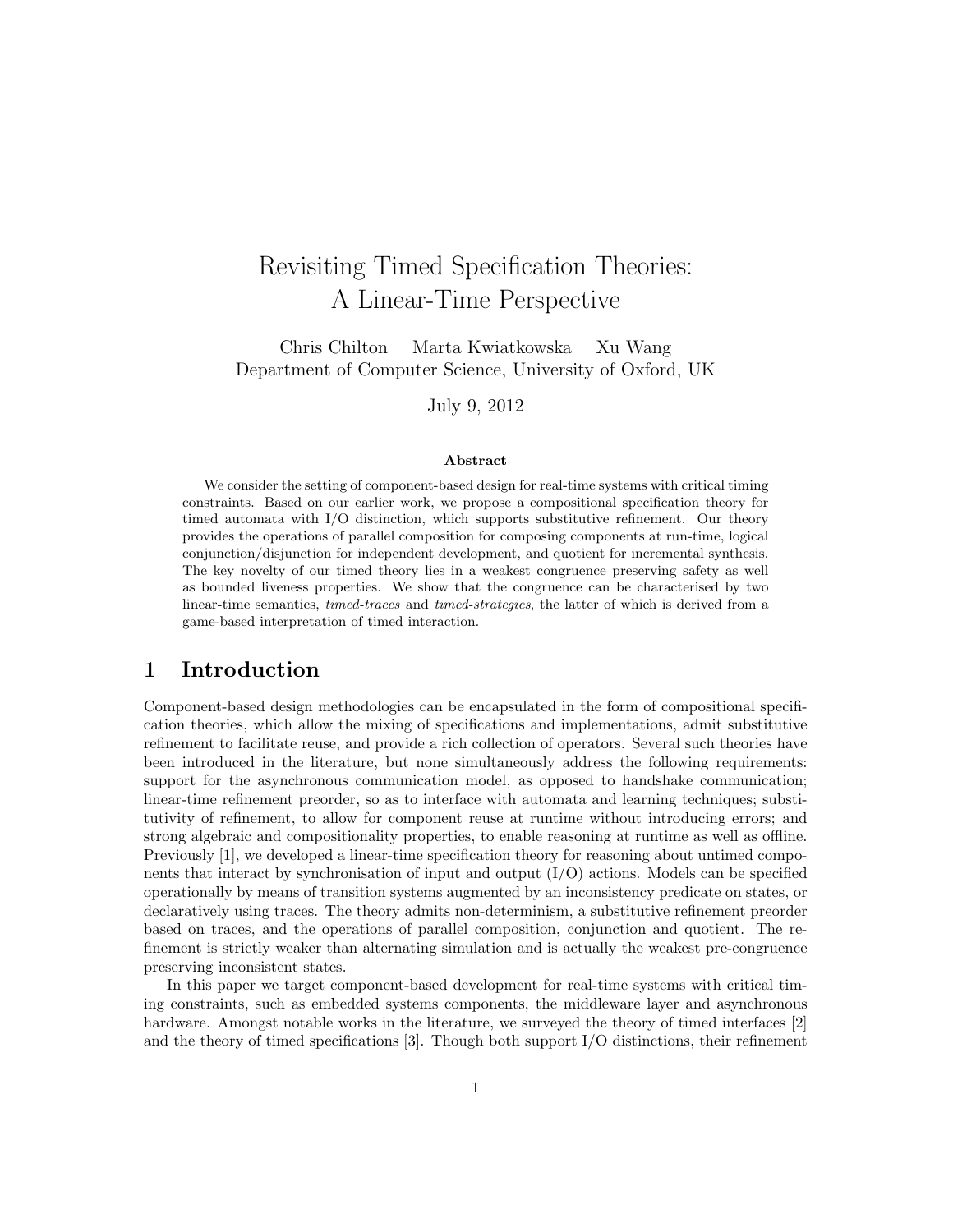## Revisiting Timed Specification Theories: A Linear-Time Perspective

Chris Chilton Marta Kwiatkowska Xu Wang Department of Computer Science, University of Oxford, UK

July 9, 2012

#### Abstract

We consider the setting of component-based design for real-time systems with critical timing constraints. Based on our earlier work, we propose a compositional specification theory for timed automata with I/O distinction, which supports substitutive refinement. Our theory provides the operations of parallel composition for composing components at run-time, logical conjunction/disjunction for independent development, and quotient for incremental synthesis. The key novelty of our timed theory lies in a weakest congruence preserving safety as well as bounded liveness properties. We show that the congruence can be characterised by two linear-time semantics, timed-traces and timed-strategies, the latter of which is derived from a game-based interpretation of timed interaction.

## 1 Introduction

Component-based design methodologies can be encapsulated in the form of compositional specification theories, which allow the mixing of specifications and implementations, admit substitutive refinement to facilitate reuse, and provide a rich collection of operators. Several such theories have been introduced in the literature, but none simultaneously address the following requirements: support for the asynchronous communication model, as opposed to handshake communication; linear-time refinement preorder, so as to interface with automata and learning techniques; substitutivity of refinement, to allow for component reuse at runtime without introducing errors; and strong algebraic and compositionality properties, to enable reasoning at runtime as well as offline. Previously [1], we developed a linear-time specification theory for reasoning about untimed components that interact by synchronisation of input and output  $(I/O)$  actions. Models can be specified operationally by means of transition systems augmented by an inconsistency predicate on states, or declaratively using traces. The theory admits non-determinism, a substitutive refinement preorder based on traces, and the operations of parallel composition, conjunction and quotient. The refinement is strictly weaker than alternating simulation and is actually the weakest pre-congruence preserving inconsistent states.

In this paper we target component-based development for real-time systems with critical timing constraints, such as embedded systems components, the middleware layer and asynchronous hardware. Amongst notable works in the literature, we surveyed the theory of timed interfaces [2] and the theory of timed specifications [3]. Though both support I/O distinctions, their refinement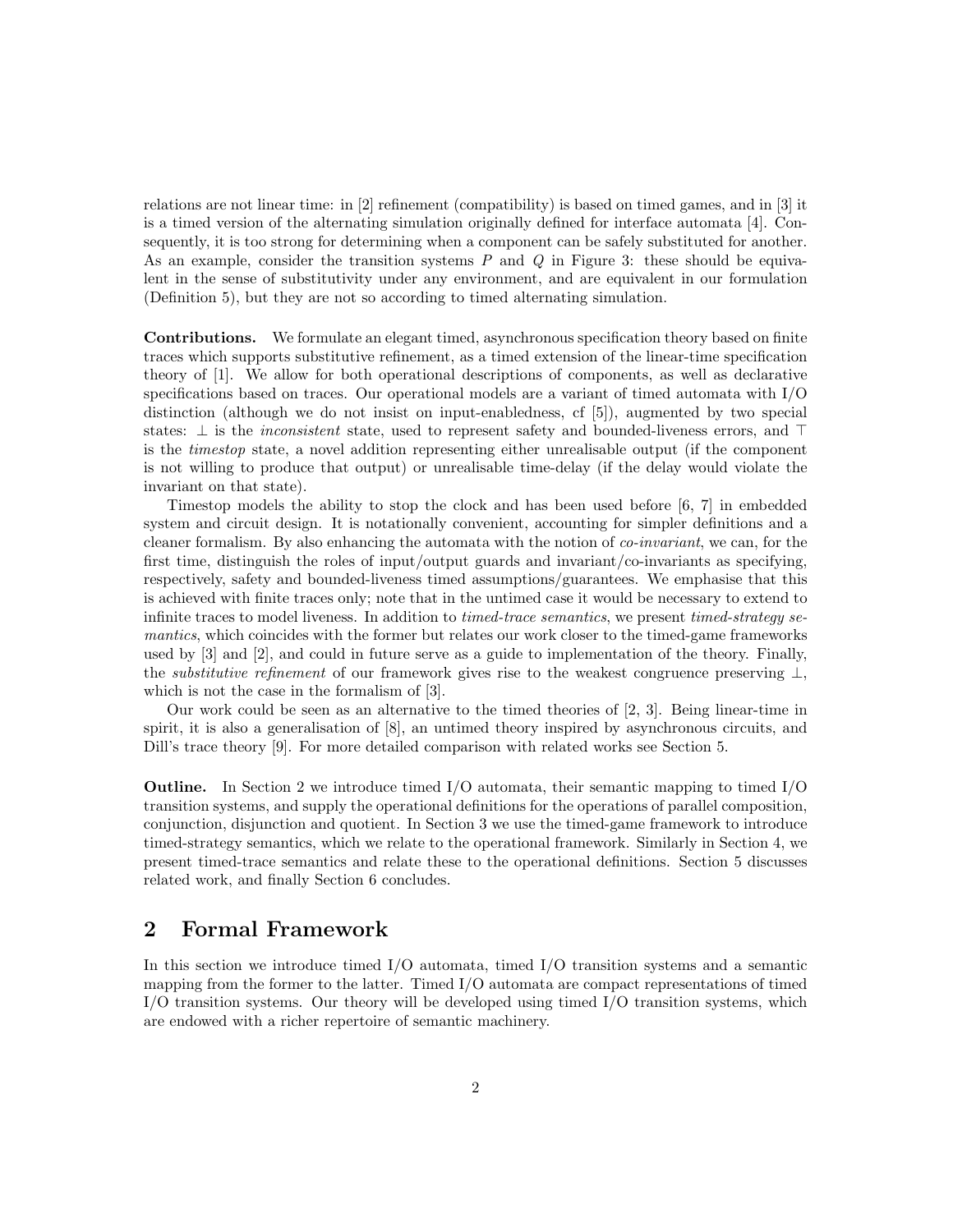relations are not linear time: in [2] refinement (compatibility) is based on timed games, and in [3] it is a timed version of the alternating simulation originally defined for interface automata [4]. Consequently, it is too strong for determining when a component can be safely substituted for another. As an example, consider the transition systems P and Q in Figure 3: these should be equivalent in the sense of substitutivity under any environment, and are equivalent in our formulation (Definition 5), but they are not so according to timed alternating simulation.

Contributions. We formulate an elegant timed, asynchronous specification theory based on finite traces which supports substitutive refinement, as a timed extension of the linear-time specification theory of [1]. We allow for both operational descriptions of components, as well as declarative specifications based on traces. Our operational models are a variant of timed automata with I/O distinction (although we do not insist on input-enabledness, cf [5]), augmented by two special states:  $\perp$  is the *inconsistent* state, used to represent safety and bounded-liveness errors, and  $\top$ is the timestop state, a novel addition representing either unrealisable output (if the component is not willing to produce that output) or unrealisable time-delay (if the delay would violate the invariant on that state).

Timestop models the ability to stop the clock and has been used before [6, 7] in embedded system and circuit design. It is notationally convenient, accounting for simpler definitions and a cleaner formalism. By also enhancing the automata with the notion of co-invariant, we can, for the first time, distinguish the roles of input/output guards and invariant/co-invariants as specifying, respectively, safety and bounded-liveness timed assumptions/guarantees. We emphasise that this is achieved with finite traces only; note that in the untimed case it would be necessary to extend to infinite traces to model liveness. In addition to *timed-trace semantics*, we present *timed-strategy se*mantics, which coincides with the former but relates our work closer to the timed-game frameworks used by [3] and [2], and could in future serve as a guide to implementation of the theory. Finally, the *substitutive refinement* of our framework gives rise to the weakest congruence preserving  $\perp$ , which is not the case in the formalism of [3].

Our work could be seen as an alternative to the timed theories of [2, 3]. Being linear-time in spirit, it is also a generalisation of [8], an untimed theory inspired by asynchronous circuits, and Dill's trace theory [9]. For more detailed comparison with related works see Section 5.

Outline. In Section 2 we introduce timed I/O automata, their semantic mapping to timed I/O transition systems, and supply the operational definitions for the operations of parallel composition, conjunction, disjunction and quotient. In Section 3 we use the timed-game framework to introduce timed-strategy semantics, which we relate to the operational framework. Similarly in Section 4, we present timed-trace semantics and relate these to the operational definitions. Section 5 discusses related work, and finally Section 6 concludes.

### 2 Formal Framework

In this section we introduce timed I/O automata, timed I/O transition systems and a semantic mapping from the former to the latter. Timed I/O automata are compact representations of timed I/O transition systems. Our theory will be developed using timed I/O transition systems, which are endowed with a richer repertoire of semantic machinery.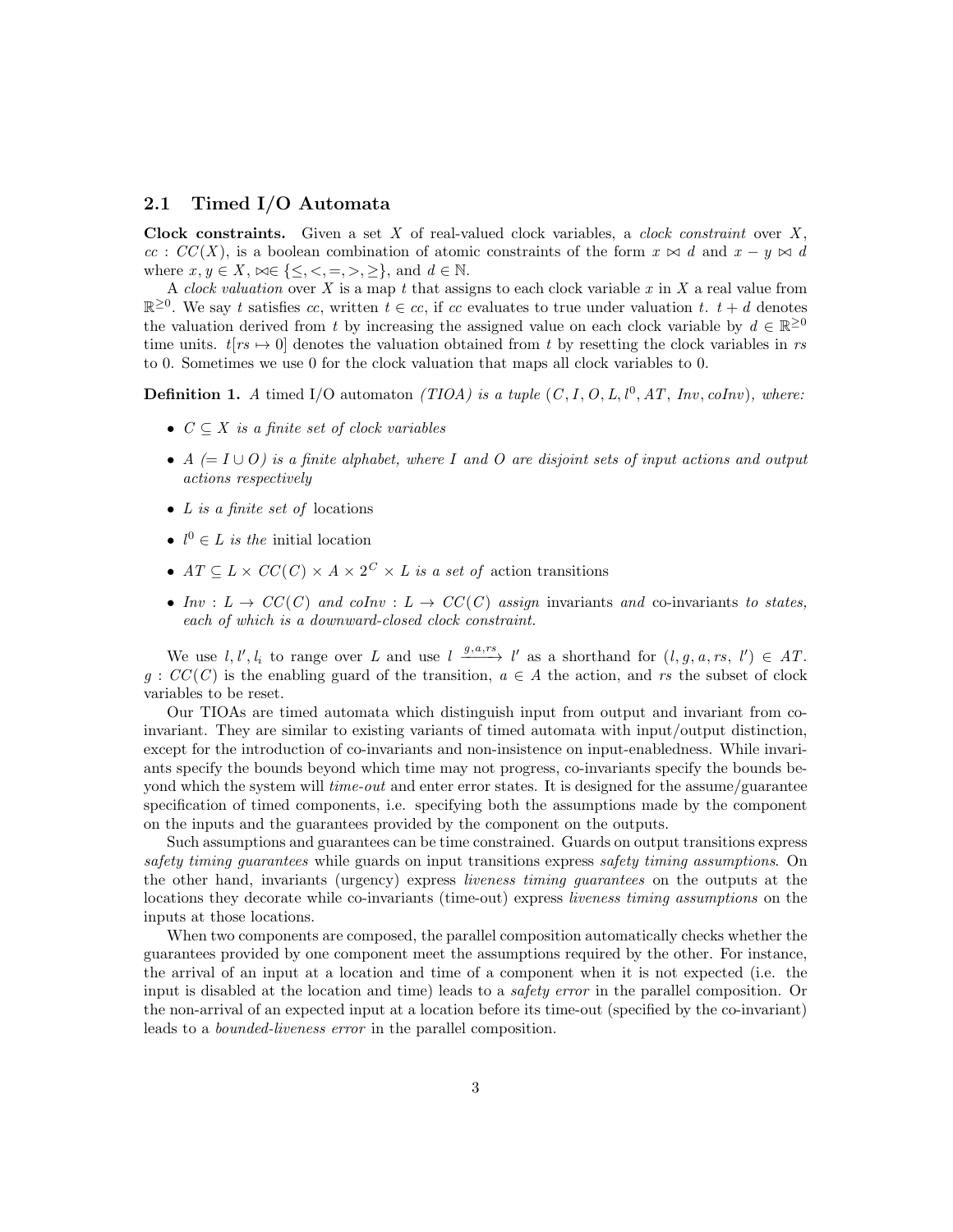### 2.1 Timed I/O Automata

Clock constraints. Given a set  $X$  of real-valued clock variables, a *clock constraint* over  $X$ .  $cc : CC(X)$ , is a boolean combination of atomic constraints of the form  $x \bowtie d$  and  $x - y \bowtie d$ where  $x, y \in X$ ,  $\bowtie \in \{\leq, \leq, =, >, \geq\}$ , and  $d \in \mathbb{N}$ .

A *clock valuation* over X is a map t that assigns to each clock variable x in X a real value from  $\mathbb{R}^{\geq 0}$ . We say t satisfies cc, written  $t \in cc$ , if cc evaluates to true under valuation t.  $t + d$  denotes the valuation derived from t by increasing the assigned value on each clock variable by  $d \in \mathbb{R}^{\geq 0}$ time units.  $t[r_s \rightarrow 0]$  denotes the valuation obtained from t by resetting the clock variables in rs to 0. Sometimes we use 0 for the clock valuation that maps all clock variables to 0.

**Definition 1.** A timed I/O automaton (TIOA) is a tuple  $(C, I, O, L, l^0, AT, Inv, colnv)$ , where:

- $C \subseteq X$  is a finite set of clock variables
- A  $(= I \cup O)$  is a finite alphabet, where I and O are disjoint sets of input actions and output actions respectively
- L is a finite set of locations
- $l^0 \in L$  is the initial location
- $AT \subseteq L \times CC(C) \times A \times 2^C \times L$  is a set of action transitions
- Inv :  $L \to CC(C)$  and coInv :  $L \to CC(C)$  assign invariants and co-invariants to states, each of which is a downward-closed clock constraint.

We use  $l, l', l_i$  to range over L and use  $l \xrightarrow{g,a,rs} l'$  as a shorthand for  $(l, g, a, rs, l') \in AT$ .  $g: CC(C)$  is the enabling guard of the transition,  $a \in A$  the action, and rs the subset of clock variables to be reset.

Our TIOAs are timed automata which distinguish input from output and invariant from coinvariant. They are similar to existing variants of timed automata with input/output distinction, except for the introduction of co-invariants and non-insistence on input-enabledness. While invariants specify the bounds beyond which time may not progress, co-invariants specify the bounds beyond which the system will time-out and enter error states. It is designed for the assume/guarantee specification of timed components, i.e. specifying both the assumptions made by the component on the inputs and the guarantees provided by the component on the outputs.

Such assumptions and guarantees can be time constrained. Guards on output transitions express safety timing quarantees while guards on input transitions express safety timing assumptions. On the other hand, invariants (urgency) express liveness timing guarantees on the outputs at the locations they decorate while co-invariants (time-out) express *liveness timing assumptions* on the inputs at those locations.

When two components are composed, the parallel composition automatically checks whether the guarantees provided by one component meet the assumptions required by the other. For instance, the arrival of an input at a location and time of a component when it is not expected (i.e. the input is disabled at the location and time) leads to a *safety error* in the parallel composition. Or the non-arrival of an expected input at a location before its time-out (specified by the co-invariant) leads to a bounded-liveness error in the parallel composition.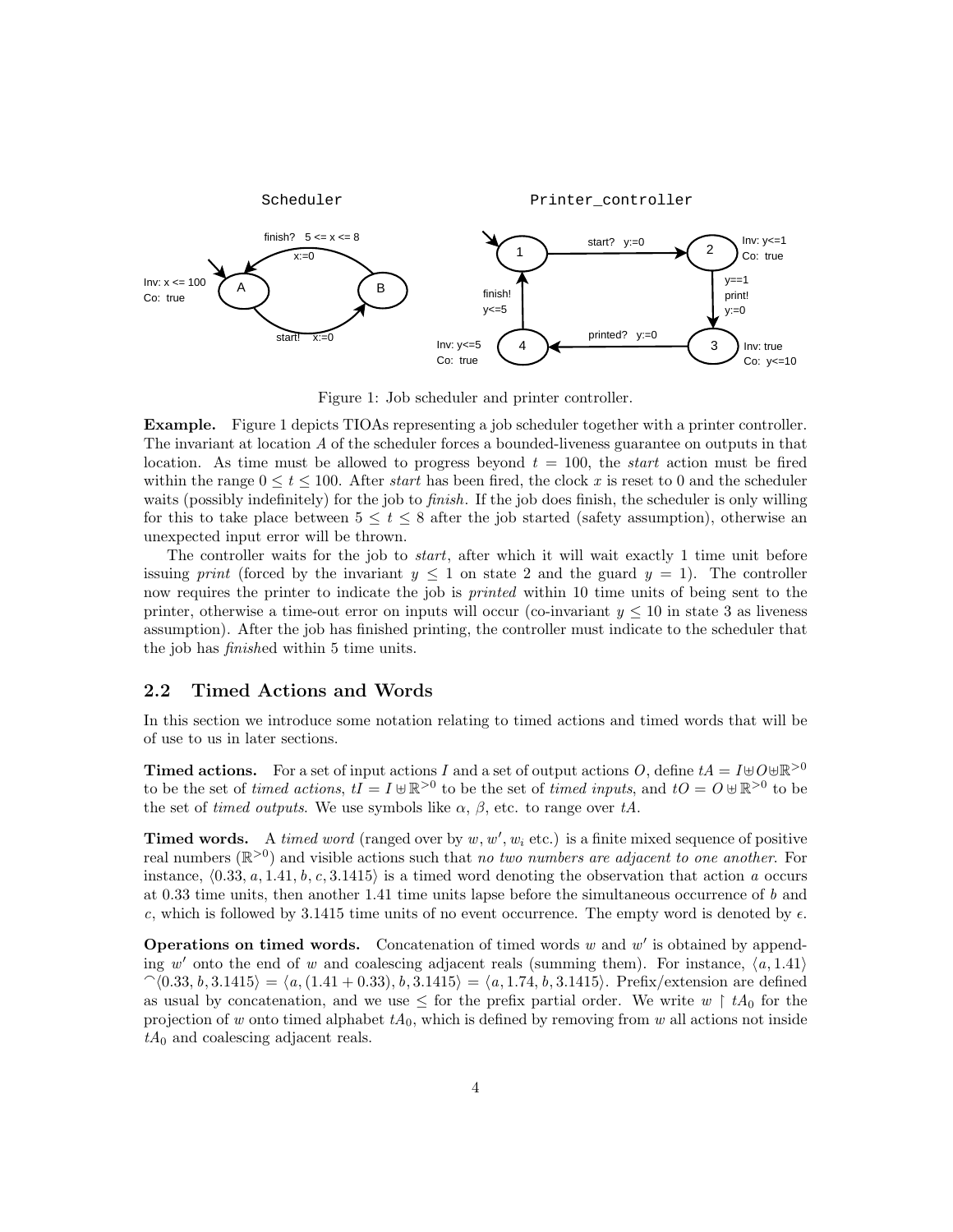

Figure 1: Job scheduler and printer controller.

Example. Figure 1 depicts TIOAs representing a job scheduler together with a printer controller. The invariant at location A of the scheduler forces a bounded-liveness guarantee on outputs in that location. As time must be allowed to progress beyond  $t = 100$ , the *start* action must be fired within the range  $0 \le t \le 100$ . After *start* has been fired, the clock x is reset to 0 and the scheduler waits (possibly indefinitely) for the job to *finish*. If the job does finish, the scheduler is only willing for this to take place between  $5 \le t \le 8$  after the job started (safety assumption), otherwise an unexpected input error will be thrown.

The controller waits for the job to *start*, after which it will wait exactly 1 time unit before issuing print (forced by the invariant  $y \le 1$  on state 2 and the guard  $y = 1$ ). The controller now requires the printer to indicate the job is printed within 10 time units of being sent to the printer, otherwise a time-out error on inputs will occur (co-invariant  $y \leq 10$  in state 3 as liveness assumption). After the job has finished printing, the controller must indicate to the scheduler that the job has finished within 5 time units.

#### 2.2 Timed Actions and Words

In this section we introduce some notation relating to timed actions and timed words that will be of use to us in later sections.

**Timed actions.** For a set of input actions I and a set of output actions O, define  $tA = I \oplus O \oplus \mathbb{R}^{>0}$ to be the set of timed actions,  $tI = I \oplus \mathbb{R}^{>0}$  to be the set of timed inputs, and  $tO = O \oplus \mathbb{R}^{>0}$  to be the set of timed outputs. We use symbols like  $\alpha$ ,  $\beta$ , etc. to range over tA.

**Timed words.** A timed word (ranged over by  $w, w', w_i$  etc.) is a finite mixed sequence of positive real numbers ( $\mathbb{R}^{>0}$ ) and visible actions such that no two numbers are adjacent to one another. For instance,  $\langle 0.33, a, 1.41, b, c, 3.1415 \rangle$  is a timed word denoting the observation that action a occurs at 0.33 time units, then another 1.41 time units lapse before the simultaneous occurrence of b and c, which is followed by 3.1415 time units of no event occurrence. The empty word is denoted by  $\epsilon$ .

Operations on timed words. Concatenation of timed words  $w$  and  $w'$  is obtained by appending w' onto the end of w and coalescing adjacent reals (summing them). For instance,  $\langle a, 1.41 \rangle$  $\langle 0.33, b, 3.1415 \rangle = \langle a, (1.41 + 0.33), b, 3.1415 \rangle = \langle a, 1.74, b, 3.1415 \rangle$ . Prefix/extension are defined as usual by concatenation, and we use  $\leq$  for the prefix partial order. We write w  $\upharpoonright tA_0$  for the projection of w onto timed alphabet  $tA_0$ , which is defined by removing from w all actions not inside  $tA_0$  and coalescing adjacent reals.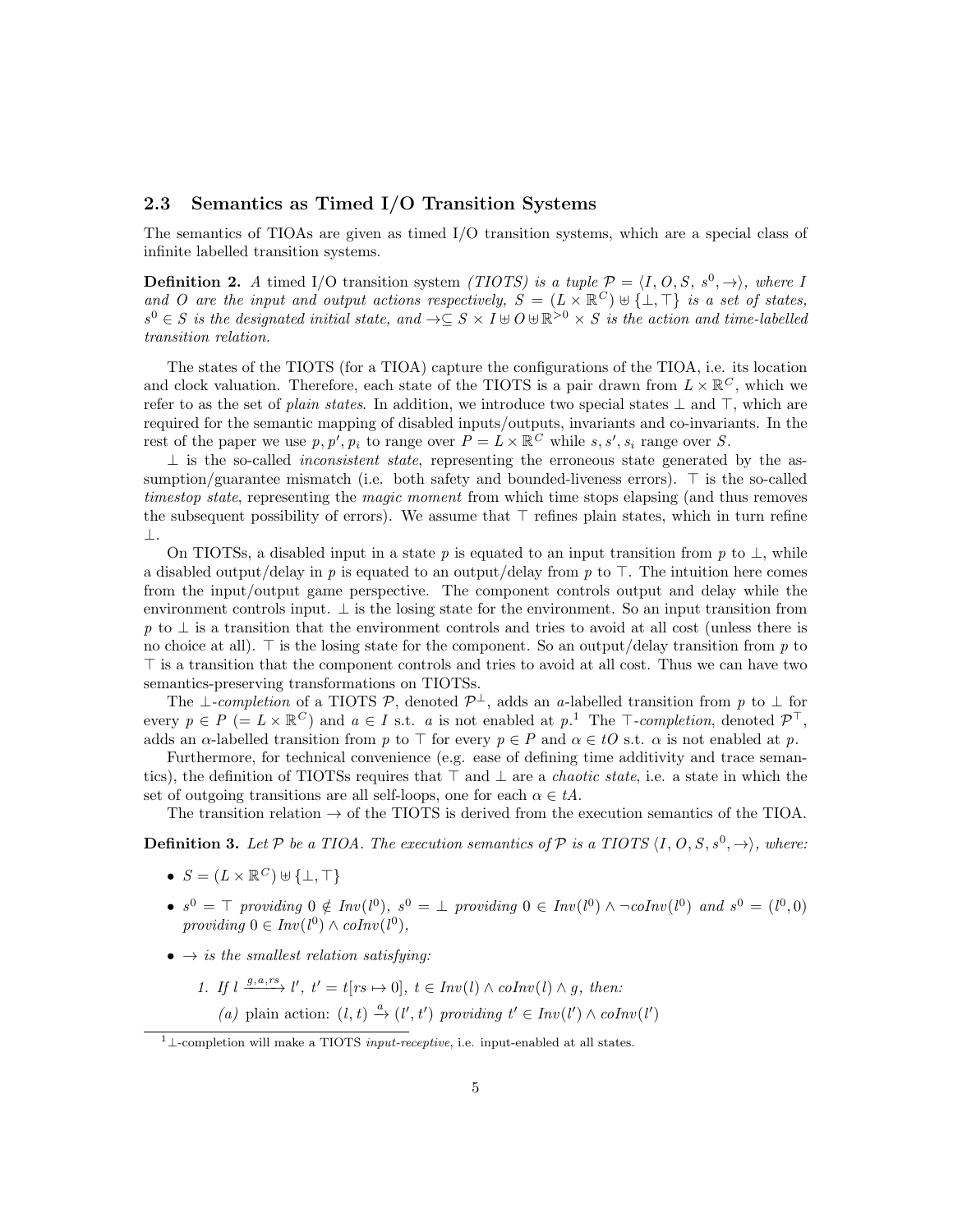#### 2.3 Semantics as Timed I/O Transition Systems

The semantics of TIOAs are given as timed I/O transition systems, which are a special class of infinite labelled transition systems.

**Definition 2.** A timed I/O transition system (TIOTS) is a tuple  $P = \langle I, O, S, s^0, \rightarrow \rangle$ , where I and O are the input and output actions respectively,  $S = (L \times \mathbb{R}^C) \cup \{\perp, \top\}$  is a set of states,  $s^0 \in S$  is the designated initial state, and  $\to \subseteq S \times I \oplus O \oplus \mathbb{R}^{>0} \times S$  is the action and time-labelled transition relation.

The states of the TIOTS (for a TIOA) capture the configurations of the TIOA, i.e. its location and clock valuation. Therefore, each state of the TIOTS is a pair drawn from  $L \times \mathbb{R}^C$ , which we refer to as the set of plain states. In addition, we introduce two special states  $\perp$  and  $\top$ , which are required for the semantic mapping of disabled inputs/outputs, invariants and co-invariants. In the rest of the paper we use  $p, p', p_i$  to range over  $P = L \times \mathbb{R}^C$  while  $s, s', s_i$  range over S.

 $\perp$  is the so-called *inconsistent state*, representing the erroneous state generated by the assumption/guarantee mismatch (i.e. both safety and bounded-liveness errors).  $\top$  is the so-called timestop state, representing the magic moment from which time stops elapsing (and thus removes the subsequent possibility of errors). We assume that  $\top$  refines plain states, which in turn refine ⊥.

On TIOTSs, a disabled input in a state p is equated to an input transition from p to  $\perp$ , while a disabled output/delay in p is equated to an output/delay from p to  $\top$ . The intuition here comes from the input/output game perspective. The component controls output and delay while the environment controls input. ⊥ is the losing state for the environment. So an input transition from p to  $\perp$  is a transition that the environment controls and tries to avoid at all cost (unless there is no choice at all).  $\top$  is the losing state for the component. So an output/delay transition from p to  $\top$  is a transition that the component controls and tries to avoid at all cost. Thus we can have two semantics-preserving transformations on TIOTSs.

The ⊥-completion of a TIOTS P, denoted  $\mathcal{P}^{\perp}$ , adds an a-labelled transition from p to  $\perp$  for every  $p \in P (= L \times \mathbb{R}^C)$  and  $a \in I$  s.t. a is not enabled at  $p$ .<sup>1</sup> The  $\top$ -completion, denoted  $\mathcal{P}^{\top}$ , adds an  $\alpha$ -labelled transition from p to  $\top$  for every  $p \in P$  and  $\alpha \in tO$  s.t.  $\alpha$  is not enabled at p.

Furthermore, for technical convenience (e.g. ease of defining time additivity and trace semantics), the definition of TIOTSs requires that  $\top$  and  $\bot$  are a *chaotic state*, i.e. a state in which the set of outgoing transitions are all self-loops, one for each  $\alpha \in t\mathcal{A}$ .

The transition relation  $\rightarrow$  of the TIOTS is derived from the execution semantics of the TIOA.

**Definition 3.** Let  $P$  be a TIOA. The execution semantics of  $P$  is a TIOTS  $\langle I, O, S, s^0, \rightarrow \rangle$ , where:

- $S = (L \times \mathbb{R}^C) \oplus \{\perp, \top\}$
- $s^0 = \top$  providing  $0 \notin Inv(l^0), s^0 = \bot$  providing  $0 \in Inv(l^0) \land \neg colnv(l^0)$  and  $s^0 = (l^0, 0)$ providing  $0 \in Inv(l^0) \wedge colnv(l^0)$ ,
- $\bullet \rightarrow$  is the smallest relation satisfying:

1. If  $l \xrightarrow{g,a,rs} l', t' = t[rs \mapsto 0], t \in Inv(l) \wedge colnv(l) \wedge g, then:$ 

(a) plain action:  $(l, t) \stackrel{a}{\rightarrow} (l', t')$  providing  $t' \in Inv(l') \wedge colnv(l')$ 

 $^1 ⊥$ -completion will make a TIOTS  $\emph{input-recaptive},$  i.e. input-enabled at all states.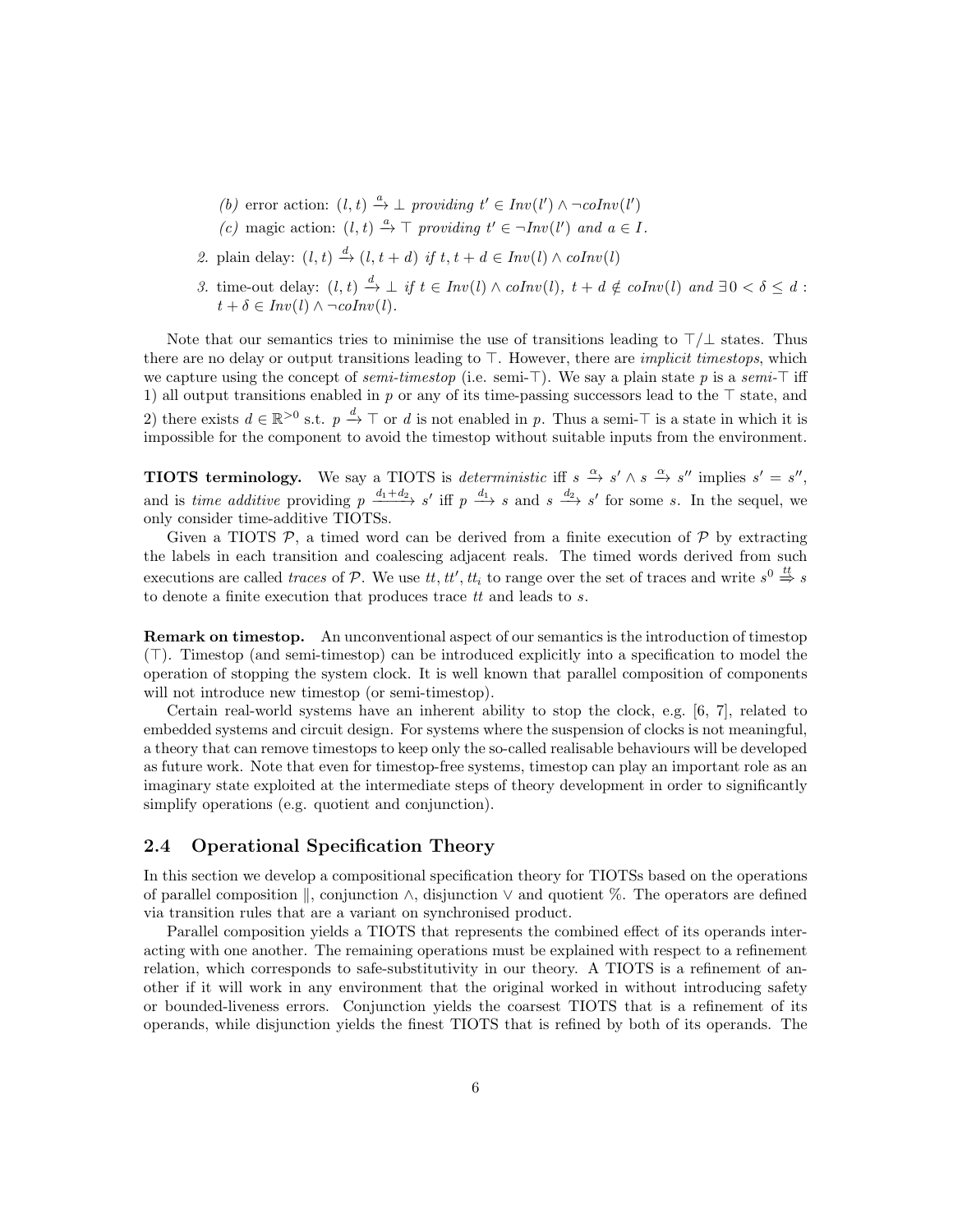- (b) error action:  $(l, t) \stackrel{a}{\rightarrow} \perp$  providing  $t' \in Inv(l') \land \neg colnv(l')$
- (c) magic action:  $(l, t) \stackrel{a}{\rightarrow} \top$  providing  $t' \in \neg Inv(l')$  and  $a \in I$ .
- 2. plain delay:  $(l, t) \stackrel{d}{\rightarrow} (l, t + d)$  if  $t, t + d \in Inv(l) \wedge colnv(l)$
- 3. time-out delay:  $(l, t) \stackrel{d}{\rightarrow} \perp$  if  $t \in Inv(l) \wedge colnv(l), t + d \notin colnv(l)$  and  $\exists 0 < \delta \leq d$ :  $t + \delta \in Inv(l) \wedge \neg colnv(l).$

Note that our semantics tries to minimise the use of transitions leading to  $\top/\bot$  states. Thus there are no delay or output transitions leading to  $\top$ . However, there are *implicit timestops*, which we capture using the concept of *semi-timestop* (i.e. semi- $\top$ ). We say a plain state p is a *semi-* $\top$  iff 1) all output transitions enabled in p or any of its time-passing successors lead to the  $\top$  state, and 2) there exists  $d \in \mathbb{R}^{>0}$  s.t.  $p \stackrel{d}{\to} \top$  or d is not enabled in p. Thus a semi- $\top$  is a state in which it is impossible for the component to avoid the timestop without suitable inputs from the environment.

**TIOTS terminology.** We say a TIOTS is deterministic iff  $s \stackrel{\alpha}{\to} s' \wedge s \stackrel{\alpha}{\to} s''$  implies  $s' = s''$ , and is time additive providing  $p \xrightarrow{d_1+d_2} s'$  iff  $p \xrightarrow{d_1} s$  and  $s \xrightarrow{d_2} s'$  for some s. In the sequel, we only consider time-additive TIOTSs.

Given a TIOTS  $P$ , a timed word can be derived from a finite execution of  $P$  by extracting the labels in each transition and coalescing adjacent reals. The timed words derived from such executions are called *traces* of P. We use  $tt, tt', tt_i$  to range over the set of traces and write  $s^0 \stackrel{tt}{\Rightarrow} s$ to denote a finite execution that produces trace  $tt$  and leads to  $s$ .

Remark on timestop. An unconventional aspect of our semantics is the introduction of timestop  $(T)$ . Timestop (and semi-timestop) can be introduced explicitly into a specification to model the operation of stopping the system clock. It is well known that parallel composition of components will not introduce new timestop (or semi-timestop).

Certain real-world systems have an inherent ability to stop the clock, e.g. [6, 7], related to embedded systems and circuit design. For systems where the suspension of clocks is not meaningful, a theory that can remove timestops to keep only the so-called realisable behaviours will be developed as future work. Note that even for timestop-free systems, timestop can play an important role as an imaginary state exploited at the intermediate steps of theory development in order to significantly simplify operations (e.g. quotient and conjunction).

#### 2.4 Operational Specification Theory

In this section we develop a compositional specification theory for TIOTSs based on the operations of parallel composition  $\parallel$ , conjunction  $\wedge$ , disjunction  $\vee$  and quotient %. The operators are defined via transition rules that are a variant on synchronised product.

Parallel composition yields a TIOTS that represents the combined effect of its operands interacting with one another. The remaining operations must be explained with respect to a refinement relation, which corresponds to safe-substitutivity in our theory. A TIOTS is a refinement of another if it will work in any environment that the original worked in without introducing safety or bounded-liveness errors. Conjunction yields the coarsest TIOTS that is a refinement of its operands, while disjunction yields the finest TIOTS that is refined by both of its operands. The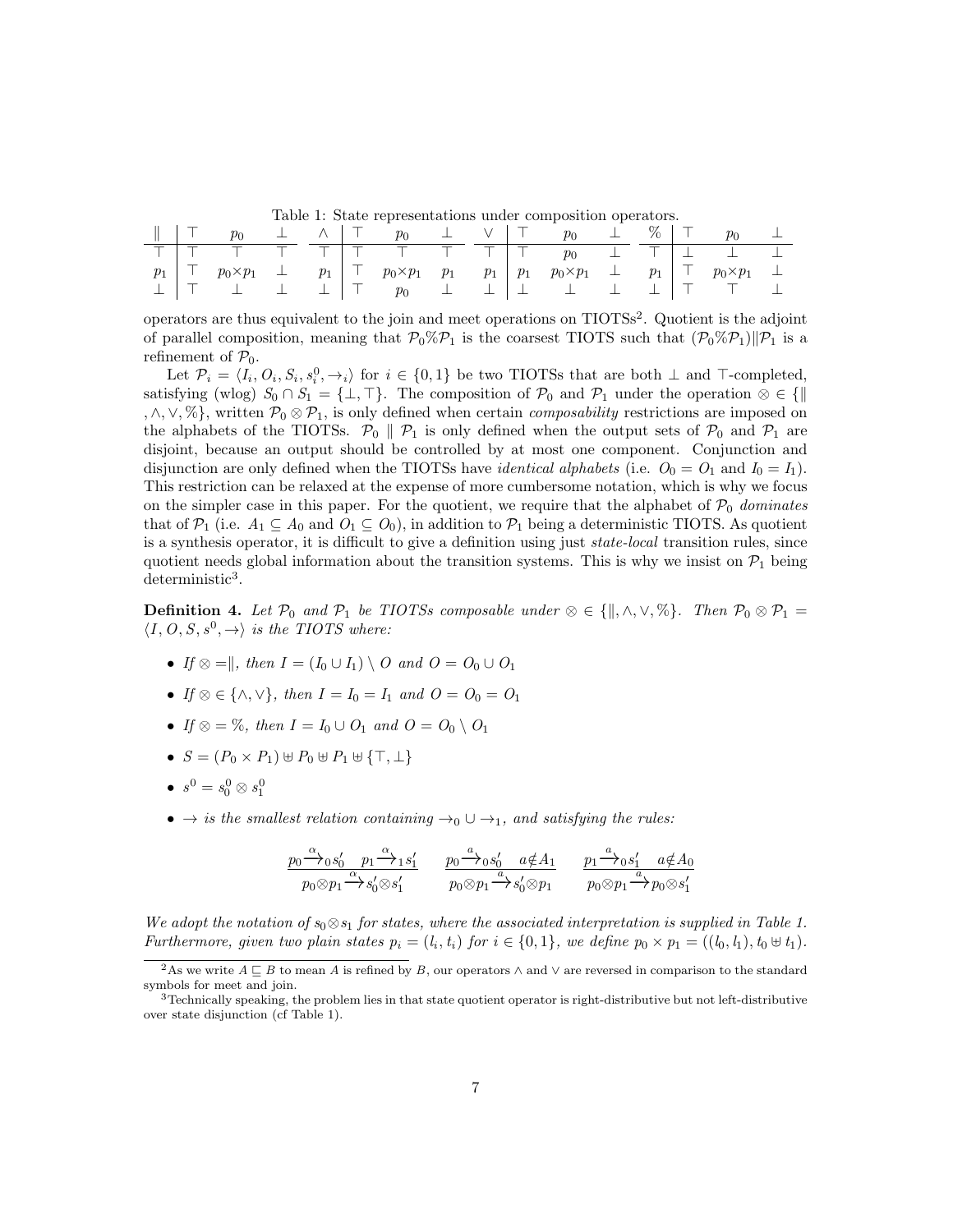Table 1: State representations under composition operators.

|  |  |  |  |  |  | $\parallel$   T $p_0$ $\perp$ $\wedge$   T $p_0$ $\perp$ $\vee$   T $p_0$ $\perp$ $\%$   T $p_0$ $\perp$                                                                             |  |  |  |  |  |  |  |  |  |  |  |
|--|--|--|--|--|--|--------------------------------------------------------------------------------------------------------------------------------------------------------------------------------------|--|--|--|--|--|--|--|--|--|--|--|
|  |  |  |  |  |  | $\begin{array}{ccccccccccccccccccccc} \top & \top & \top & \top & \top & \top & \top & \top & \top & \top & \top & \top & p_0 & \bot & \top & \bot & \bot & \bot & \bot \end{array}$ |  |  |  |  |  |  |  |  |  |  |  |
|  |  |  |  |  |  | $p_1$   $\top$ $p_0 \times p_1$ $\bot$ $p_1$   $\top$ $p_0 \times p_1$ $p_1$ $p_1$ $p_1$ $p_0 \times p_1$ $\bot$ $p_1$   $\top$ $p_0 \times p_1$ $\bot$                              |  |  |  |  |  |  |  |  |  |  |  |
|  |  |  |  |  |  |                                                                                                                                                                                      |  |  |  |  |  |  |  |  |  |  |  |

operators are thus equivalent to the join and meet operations on TIOTSs<sup>2</sup>. Quotient is the adjoint of parallel composition, meaning that  $P_0\%\mathcal{P}_1$  is the coarsest TIOTS such that  $(\mathcal{P}_0\%\mathcal{P}_1)\|\mathcal{P}_1$  is a refinement of  $P_0$ .

Let  $\mathcal{P}_i = \langle I_i, O_i, S_i, s_i^0, \rightarrow_i \rangle$  for  $i \in \{0, 1\}$  be two TIOTSs that are both  $\perp$  and  $\top$ -completed, satisfying (wlog)  $S_0 \cap S_1 = \{\perp, \perp\}$ . The composition of  $\mathcal{P}_0$  and  $\mathcal{P}_1$  under the operation  $\otimes \in \{\parallel$ ,  $\wedge$ ,  $\vee$ ,  $\%$ }, written  $\mathcal{P}_0 \otimes \mathcal{P}_1$ , is only defined when certain *composability* restrictions are imposed on the alphabets of the TIOTSs.  $\mathcal{P}_0 \parallel \mathcal{P}_1$  is only defined when the output sets of  $\mathcal{P}_0$  and  $\mathcal{P}_1$  are disjoint, because an output should be controlled by at most one component. Conjunction and disjunction are only defined when the TIOTSs have *identical alphabets* (i.e.  $O_0 = O_1$  and  $I_0 = I_1$ ). This restriction can be relaxed at the expense of more cumbersome notation, which is why we focus on the simpler case in this paper. For the quotient, we require that the alphabet of  $P_0$  dominates that of  $\mathcal{P}_1$  (i.e.  $A_1 \subseteq A_0$  and  $O_1 \subseteq O_0$ ), in addition to  $\mathcal{P}_1$  being a deterministic TIOTS. As quotient is a synthesis operator, it is difficult to give a definition using just state-local transition rules, since quotient needs global information about the transition systems. This is why we insist on  $\mathcal{P}_1$  being deterministic<sup>3</sup>.

**Definition 4.** Let  $\mathcal{P}_0$  and  $\mathcal{P}_1$  be TIOTSs composable under  $\otimes \in \{\parallel, \wedge, \vee, \frac{\infty}{2}\}$ . Then  $\mathcal{P}_0 \otimes \mathcal{P}_1 =$  $\langle I, O, S, s^0, \rightarrow \rangle$  is the TIOTS where:

- If  $\otimes = \parallel$ , then  $I = (I_0 \cup I_1) \setminus O$  and  $O = O_0 \cup O_1$
- If  $\otimes \in \{\wedge, \vee\}$ , then  $I = I_0 = I_1$  and  $O = O_0 = O_1$
- If  $\otimes = \mathcal{C}_0$ , then  $I = I_0 \cup O_1$  and  $O = O_0 \setminus O_1$
- $S = (P_0 \times P_1) \boxplus P_0 \boxplus P_1 \boxplus {\top, \perp}$
- $s^0 = s_0^0 \otimes s_1^0$
- $\rightarrow$  is the smallest relation containing  $\rightarrow_0 \cup \rightarrow_1$ , and satisfying the rules:

$$
\frac{p_0 \xrightarrow{\alpha} 0 s'_0 \quad p_1 \xrightarrow{\alpha} 1 s'_1}{p_0 \otimes p_1 \xrightarrow{\alpha} 0 s'_0 \otimes s'_1} \qquad \frac{p_0 \xrightarrow{\alpha} 0 s'_0 \quad a \notin A_1}{p_0 \otimes p_1 \xrightarrow{\alpha} 0 s'_0 \otimes p_1} \qquad \frac{p_1 \xrightarrow{\alpha} 0 s'_1 \quad a \notin A_0}{p_0 \otimes p_1 \xrightarrow{\alpha} 0 s'_1}
$$

We adopt the notation of  $s_0 \otimes s_1$  for states, where the associated interpretation is supplied in Table 1. Furthermore, given two plain states  $p_i = (l_i, t_i)$  for  $i \in \{0, 1\}$ , we define  $p_0 \times p_1 = ((l_0, l_1), t_0 \oplus t_1)$ .

<sup>&</sup>lt;sup>2</sup>As we write  $A \sqsubseteq B$  to mean A is refined by B, our operators ∧ and  $\vee$  are reversed in comparison to the standard symbols for meet and join.

 $3$ Technically speaking, the problem lies in that state quotient operator is right-distributive but not left-distributive over state disjunction (cf Table 1).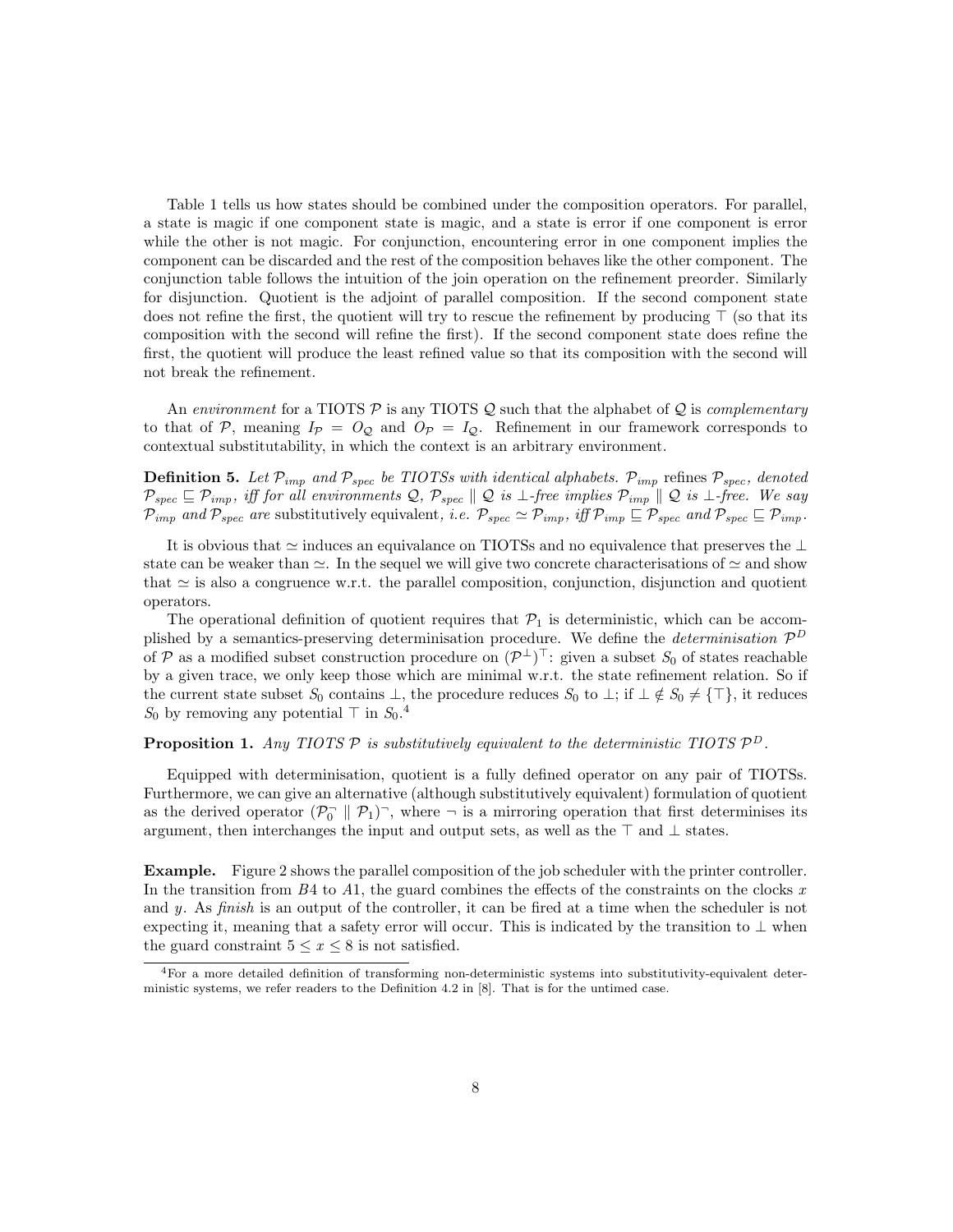Table 1 tells us how states should be combined under the composition operators. For parallel, a state is magic if one component state is magic, and a state is error if one component is error while the other is not magic. For conjunction, encountering error in one component implies the component can be discarded and the rest of the composition behaves like the other component. The conjunction table follows the intuition of the join operation on the refinement preorder. Similarly for disjunction. Quotient is the adjoint of parallel composition. If the second component state does not refine the first, the quotient will try to rescue the refinement by producing  $\top$  (so that its composition with the second will refine the first). If the second component state does refine the first, the quotient will produce the least refined value so that its composition with the second will not break the refinement.

An environment for a TIOTS  $P$  is any TIOTS Q such that the alphabet of Q is *complementary* to that of P, meaning  $I_p = O_Q$  and  $O_p = I_Q$ . Refinement in our framework corresponds to contextual substitutability, in which the context is an arbitrary environment.

**Definition 5.** Let  $\mathcal{P}_{imp}$  and  $\mathcal{P}_{spec}$  be TIOTSs with identical alphabets.  $\mathcal{P}_{imp}$  refines  $\mathcal{P}_{spec}$ , denoted  $\mathcal{P}_{spec} \sqsubseteq \mathcal{P}_{imp}$ , iff for all environments Q,  $\mathcal{P}_{spec} \parallel \mathcal{Q}$  is ⊥-free implies  $\mathcal{P}_{imp} \parallel \mathcal{Q}$  is ⊥-free. We say  $\mathcal{P}_{imp}$  and  $\mathcal{P}_{spec}$  are substitutively equivalent, *i.e.*  $\mathcal{P}_{spec} \simeq \mathcal{P}_{imp}$ , iff  $\mathcal{P}_{imp} \sqsubseteq \mathcal{P}_{spec}$  and  $\mathcal{P}_{spec} \sqsubseteq \mathcal{P}_{imp}$ .

It is obvious that  $\simeq$  induces an equivalance on TIOTSs and no equivalence that preserves the ⊥ state can be weaker than  $\simeq$ . In the sequel we will give two concrete characterisations of  $\simeq$  and show that  $\simeq$  is also a congruence w.r.t. the parallel composition, conjunction, disjunction and quotient operators.

The operational definition of quotient requires that  $\mathcal{P}_1$  is deterministic, which can be accomplished by a semantics-preserving determinisation procedure. We define the *determinisation*  $\mathcal{P}^D$ of  $P$  as a modified subset construction procedure on  $(P^{\perp})^{\top}$ : given a subset  $S_0$  of states reachable by a given trace, we only keep those which are minimal w.r.t. the state refinement relation. So if the current state subset  $S_0$  contains  $\bot$ , the procedure reduces  $S_0$  to  $\bot$ ; if  $\bot \notin S_0 \neq {\top}$ , it reduces  $S_0$  by removing any potential  $\top$  in  $S_0$ .<sup>4</sup>

#### **Proposition 1.** Any TIOTS  $P$  is substitutively equivalent to the deterministic TIOTS  $P^D$ .

Equipped with determinisation, quotient is a fully defined operator on any pair of TIOTSs. Furthermore, we can give an alternative (although substitutively equivalent) formulation of quotient as the derived operator  $(\mathcal{P}_0^- \parallel \mathcal{P}_1)^{\dagger}$ , where  $\neg$  is a mirroring operation that first determinises its argument, then interchanges the input and output sets, as well as the  $\top$  and  $\bot$  states.

Example. Figure 2 shows the parallel composition of the job scheduler with the printer controller. In the transition from  $B4$  to  $A1$ , the guard combines the effects of the constraints on the clocks x and y. As *finish* is an output of the controller, it can be fired at a time when the scheduler is not expecting it, meaning that a safety error will occur. This is indicated by the transition to  $\perp$  when the guard constraint  $5 \leq x \leq 8$  is not satisfied.

<sup>4</sup>For a more detailed definition of transforming non-deterministic systems into substitutivity-equivalent deterministic systems, we refer readers to the Definition 4.2 in [8]. That is for the untimed case.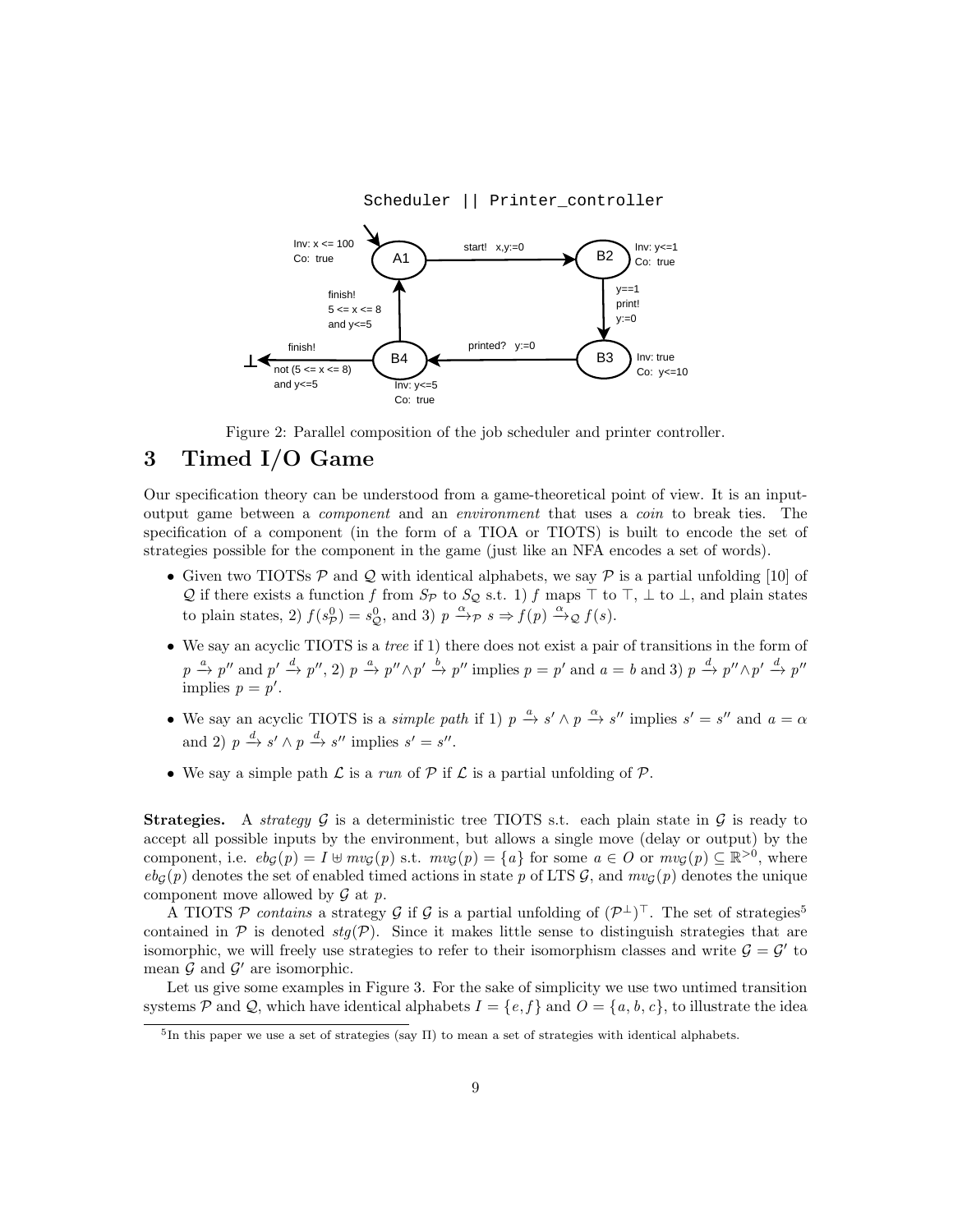

Figure 2: Parallel composition of the job scheduler and printer controller.

## 3 Timed I/O Game

Our specification theory can be understood from a game-theoretical point of view. It is an inputoutput game between a component and an environment that uses a coin to break ties. The specification of a component (in the form of a TIOA or TIOTS) is built to encode the set of strategies possible for the component in the game (just like an NFA encodes a set of words).

- Given two TIOTSs  $P$  and  $Q$  with identical alphabets, we say  $P$  is a partial unfolding [10] of Q if there exists a function f from  $S_p$  to  $S_Q$  s.t. 1) f maps  $\top$  to  $\top$ ,  $\bot$  to  $\bot$ , and plain states to plain states, 2)  $f(s_p^0) = s_Q^0$ , and 3)  $p \xrightarrow{\alpha} p s \Rightarrow f(p) \xrightarrow{\alpha} q f(s)$ .
- We say an acyclic TIOTS is a tree if 1) there does not exist a pair of transitions in the form of  $p \stackrel{a}{\rightarrow} p''$  and  $p' \stackrel{d}{\rightarrow} p'',$  2)  $p \stackrel{a}{\rightarrow} p'' \wedge p' \stackrel{b}{\rightarrow} p''$  implies  $p = p'$  and  $a = b$  and 3)  $p \stackrel{d}{\rightarrow} p'' \wedge p' \stackrel{d}{\rightarrow} p''$ implies  $p = p'$ .
- We say an acyclic TIOTS is a *simple path* if 1)  $p \stackrel{a}{\rightarrow} s' \wedge p \stackrel{\alpha}{\rightarrow} s''$  implies  $s' = s''$  and  $a = \alpha$ and 2)  $p \stackrel{d}{\rightarrow} s' \wedge p \stackrel{d}{\rightarrow} s''$  implies  $s' = s''$ .
- We say a simple path  $\mathcal L$  is a run of  $\mathcal P$  if  $\mathcal L$  is a partial unfolding of  $\mathcal P$ .

**Strategies.** A *strategy*  $G$  is a deterministic tree TIOTS s.t. each plain state in  $G$  is ready to accept all possible inputs by the environment, but allows a single move (delay or output) by the component, i.e.  $eb_{\mathcal{G}}(p) = I \oplus mv_{\mathcal{G}}(p)$  s.t.  $mv_{\mathcal{G}}(p) = \{a\}$  for some  $a \in O$  or  $mv_{\mathcal{G}}(p) \subseteq \mathbb{R}^{>0}$ , where  $eb_G(p)$  denotes the set of enabled timed actions in state p of LTS G, and  $mv_G(p)$  denotes the unique component move allowed by  $\mathcal G$  at  $p$ .

A TIOTS P contains a strategy G if G is a partial unfolding of  $(\mathcal{P}^{\perp})^{\top}$ . The set of strategies<sup>5</sup> contained in  $\mathcal P$  is denoted  $stq(\mathcal P)$ . Since it makes little sense to distinguish strategies that are isomorphic, we will freely use strategies to refer to their isomorphism classes and write  $\mathcal{G} = \mathcal{G}'$  to mean  $\mathcal G$  and  $\mathcal G'$  are isomorphic.

Let us give some examples in Figure 3. For the sake of simplicity we use two untimed transition systems  $P$  and  $Q$ , which have identical alphabets  $I = \{e, f\}$  and  $O = \{a, b, c\}$ , to illustrate the idea

<sup>5</sup> In this paper we use a set of strategies (say Π) to mean a set of strategies with identical alphabets.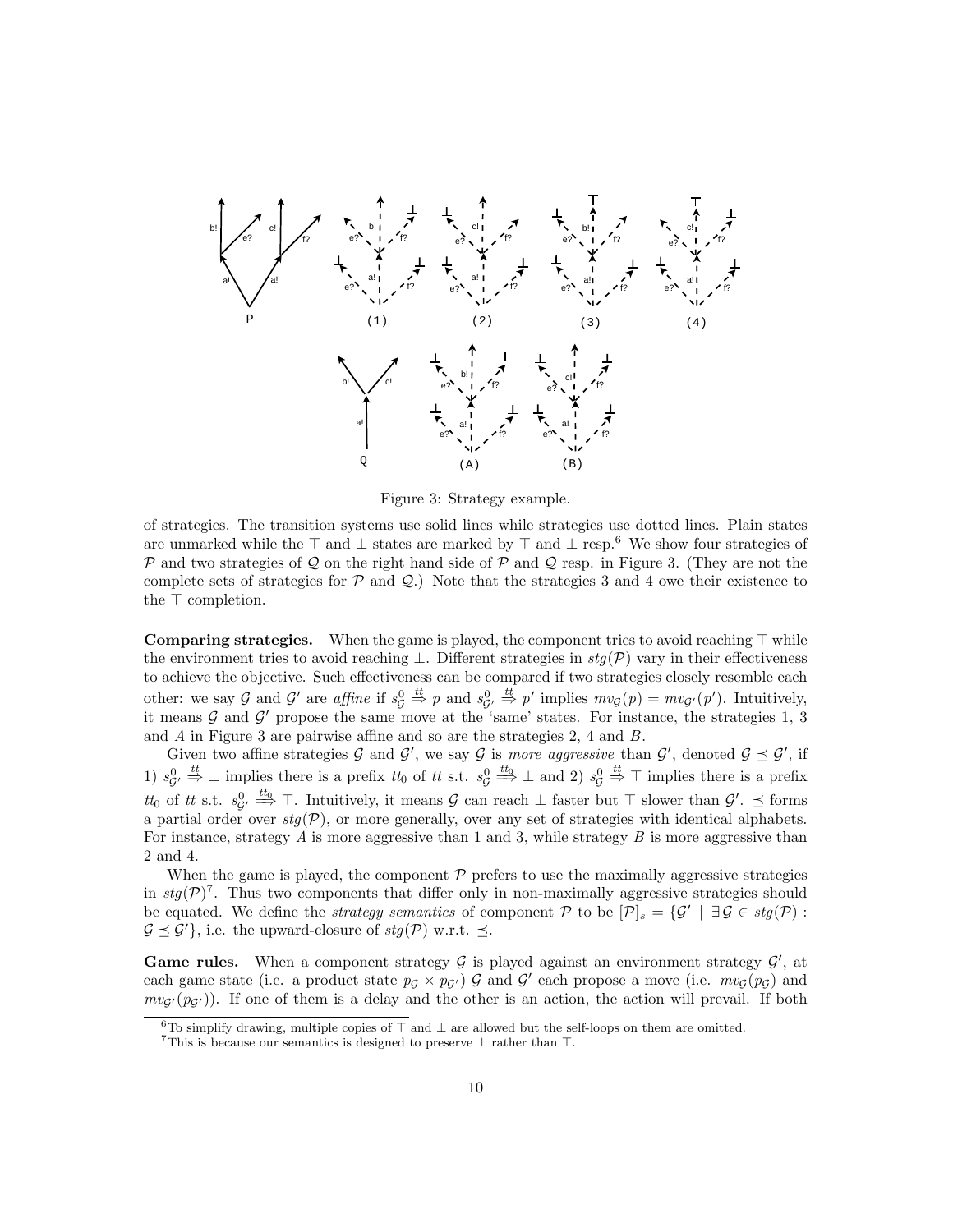

Figure 3: Strategy example.

of strategies. The transition systems use solid lines while strategies use dotted lines. Plain states are unmarked while the  $\top$  and  $\bot$  states are marked by  $\top$  and  $\bot$  resp.<sup>6</sup> We show four strategies of  $\mathcal P$  and two strategies of  $\mathcal Q$  on the right hand side of  $\mathcal P$  and  $\mathcal Q$  resp. in Figure 3. (They are not the complete sets of strategies for  $P$  and  $Q$ .) Note that the strategies 3 and 4 owe their existence to the  $\top$  completion.

**Comparing strategies.** When the game is played, the component tries to avoid reaching  $\top$  while the environment tries to avoid reaching  $\bot$ . Different strategies in  $stg(\mathcal{P})$  vary in their effectiveness to achieve the objective. Such effectiveness can be compared if two strategies closely resemble each other: we say G and G' are affine if  $s_{\mathcal{G}}^0 \stackrel{tt}{\Rightarrow} p$  and  $s_{\mathcal{G}}^0 \stackrel{tt}{\Rightarrow} p'$  implies  $mv_{\mathcal{G}}(p) = mv_{\mathcal{G}}(p')$ . Intuitively, it means  $G$  and  $G'$  propose the same move at the 'same' states. For instance, the strategies 1, 3 and A in Figure 3 are pairwise affine and so are the strategies 2, 4 and B.

Given two affine strategies G and G', we say G is more aggressive than  $\mathcal{G}'$ , denoted  $\mathcal{G} \preceq \mathcal{G}'$ , if 1)  $s_{\mathcal{G}}^0 \stackrel{tt}{\Rightarrow} \perp$  implies there is a prefix  $tt_0$  of  $tt$  s.t.  $s_{\mathcal{G}}^0 \stackrel{tt}{\Rightarrow} \perp$  and 2)  $s_{\mathcal{G}}^0 \stackrel{tt}{\Rightarrow} \perp$  implies there is a prefix  $tt_0$  of tt s.t.  $s_{\mathcal{G}}^0$   $\stackrel{tt_0}{\Longrightarrow} \top$ . Intuitively, it means  $\mathcal{G}$  can reach ⊥ faster but  $\top$  slower than  $\mathcal{G}'$ .  $\preceq$  forms a partial order over  $stg(\mathcal{P})$ , or more generally, over any set of strategies with identical alphabets. For instance, strategy  $A$  is more aggressive than 1 and 3, while strategy  $B$  is more aggressive than 2 and 4.

When the game is played, the component  $\mathcal P$  prefers to use the maximally aggressive strategies in  $stg(\mathcal{P})^7$ . Thus two components that differ only in non-maximally aggressive strategies should be equated. We define the *strategy semantics* of component  $P$  to be  $[P]_s = \{G' | \exists G \in stg(P) :$  $\mathcal{G} \preceq \mathcal{G}'$ , i.e. the upward-closure of  $stg(\mathcal{P})$  w.r.t.  $\preceq$ .

Game rules. When a component strategy  $G$  is played against an environment strategy  $G'$ , at each game state (i.e. a product state  $p_g \times p_{\mathcal{G}}$ )  $\mathcal{G}$  and  $\mathcal{G}'$  each propose a move (i.e.  $mv_{\mathcal{G}}(p_{\mathcal{G}})$  and  $mv_{\mathcal{G}}(p_{\mathcal{G}})$ . If one of them is a delay and the other is an action, the action will prevail. If both

 $6T_0$  simplify drawing, multiple copies of  $\top$  and  $\bot$  are allowed but the self-loops on them are omitted.

 $7$ This is because our semantics is designed to preserve  $\perp$  rather than  $\top$ .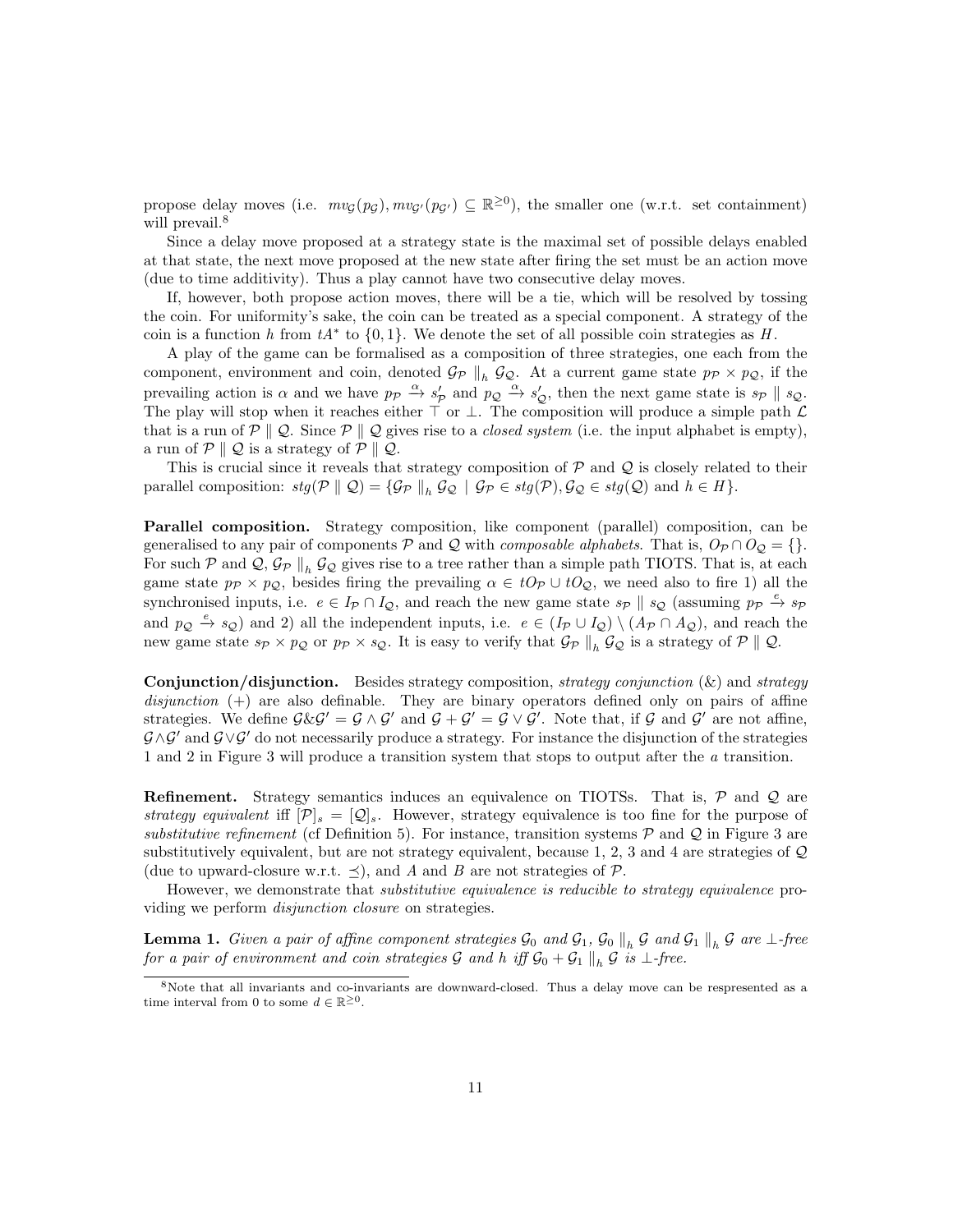propose delay moves (i.e.  $mv_{\mathcal{G}}(p_{\mathcal{G}}), mv_{\mathcal{G}'}(p_{\mathcal{G}'}) \subseteq \mathbb{R}^{\geq 0}$ ), the smaller one (w.r.t. set containment) will prevail.<sup>8</sup>

Since a delay move proposed at a strategy state is the maximal set of possible delays enabled at that state, the next move proposed at the new state after firing the set must be an action move (due to time additivity). Thus a play cannot have two consecutive delay moves.

If, however, both propose action moves, there will be a tie, which will be resolved by tossing the coin. For uniformity's sake, the coin can be treated as a special component. A strategy of the coin is a function h from  $tA^*$  to  $\{0,1\}$ . We denote the set of all possible coin strategies as H.

A play of the game can be formalised as a composition of three strategies, one each from the component, environment and coin, denoted  $\mathcal{G}_{\mathcal{P}} \parallel_h \mathcal{G}_{\mathcal{Q}}$ . At a current game state  $p_{\mathcal{P}} \times p_{\mathcal{Q}}$ , if the prevailing action is  $\alpha$  and we have  $p_{\mathcal{P}} \stackrel{\alpha}{\rightarrow} s'_{\mathcal{P}}$  and  $p_{\mathcal{Q}} \stackrel{\alpha}{\rightarrow} s'_{\mathcal{Q}}$ , then the next game state is  $s_{\mathcal{P}} \parallel s_{\mathcal{Q}}$ . The play will stop when it reaches either  $\top$  or  $\bot$ . The composition will produce a simple path  $\mathcal L$ that is a run of  $\mathcal{P} \parallel \mathcal{Q}$ . Since  $\mathcal{P} \parallel \mathcal{Q}$  gives rise to a *closed system* (i.e. the input alphabet is empty), a run of  $P \parallel Q$  is a strategy of  $P \parallel Q$ .

This is crucial since it reveals that strategy composition of  $P$  and  $Q$  is closely related to their parallel composition:  $stg(\mathcal{P} \parallel \mathcal{Q}) = {\mathcal{G}_{\mathcal{P}} \parallel_h \mathcal{G}_{\mathcal{Q}} \mid \mathcal{G}_{\mathcal{P}} \in stg(\mathcal{P}), \mathcal{G}_{\mathcal{Q}} \in stg(\mathcal{Q}) \text{ and } h \in H}.$ 

Parallel composition. Strategy composition, like component (parallel) composition, can be generalised to any pair of components P and Q with *composable alphabets*. That is,  $O_P \cap O_Q = \{\}.$ For such P and Q,  $\mathcal{G}_{\mathcal{P}} \parallel_h \mathcal{G}_{\mathcal{Q}}$  gives rise to a tree rather than a simple path TIOTS. That is, at each game state  $p_p \times p_Q$ , besides firing the prevailing  $\alpha \in tO_p \cup tO_q$ , we need also to fire 1) all the synchronised inputs, i.e.  $e \in I_{\mathcal{P}} \cap I_{\mathcal{Q}}$ , and reach the new game state  $s_{\mathcal{P}} \parallel s_{\mathcal{Q}}$  (assuming  $p_{\mathcal{P}} \stackrel{e}{\rightarrow} s_{\mathcal{P}}$ and  $p_Q \stackrel{e}{\rightarrow} s_Q$ ) and 2) all the independent inputs, i.e.  $e \in (I_p \cup I_Q) \setminus (A_p \cap A_Q)$ , and reach the new game state  $s_P \times p_Q$  or  $p_P \times s_Q$ . It is easy to verify that  $\mathcal{G}_P \parallel_h \mathcal{G}_Q$  is a strategy of  $P \parallel Q$ .

**Conjunction/disjunction.** Besides strategy composition, *strategy conjunction*  $(\&)$  and *strategy*  $disjunction (+)$  are also definable. They are binary operators defined only on pairs of affine strategies. We define  $\mathcal{G}\&\mathcal{G}'=\mathcal{G}\wedge\mathcal{G}'$  and  $\mathcal{G}+\mathcal{G}'=\mathcal{G}\vee\mathcal{G}'$ . Note that, if  $\mathcal{G}$  and  $\mathcal{G}'$  are not affine,  $\mathcal{G}\wedge\mathcal{G}'$  and  $\mathcal{G}\vee\mathcal{G}'$  do not necessarily produce a strategy. For instance the disjunction of the strategies 1 and 2 in Figure 3 will produce a transition system that stops to output after the a transition.

**Refinement.** Strategy semantics induces an equivalence on TIOTSs. That is,  $P$  and  $Q$  are strategy equivalent iff  $[\mathcal{P}]_s = [\mathcal{Q}]_s$ . However, strategy equivalence is too fine for the purpose of substitutive refinement (cf Definition 5). For instance, transition systems  $P$  and  $Q$  in Figure 3 are substitutively equivalent, but are not strategy equivalent, because 1, 2, 3 and 4 are strategies of  $\mathcal Q$ (due to upward-closure w.r.t.  $\preceq$ ), and A and B are not strategies of P.

However, we demonstrate that *substitutive equivalence* is reducible to strategy equivalence providing we perform disjunction closure on strategies.

**Lemma 1.** Given a pair of affine component strategies  $\mathcal{G}_0$  and  $\mathcal{G}_1$ ,  $\mathcal{G}_0 \parallel_h \mathcal{G}$  and  $\mathcal{G}_1 \parallel_h \mathcal{G}$  are  $\bot$ -free for a pair of environment and coin strategies  $\mathcal G$  and  $h$  iff  $\mathcal G_0+\mathcal G_1\parallel_h\mathcal G$  is  $\bot$ -free.

<sup>8</sup>Note that all invariants and co-invariants are downward-closed. Thus a delay move can be respresented as a time interval from 0 to some  $d \in \mathbb{R}^{\geq 0}$ .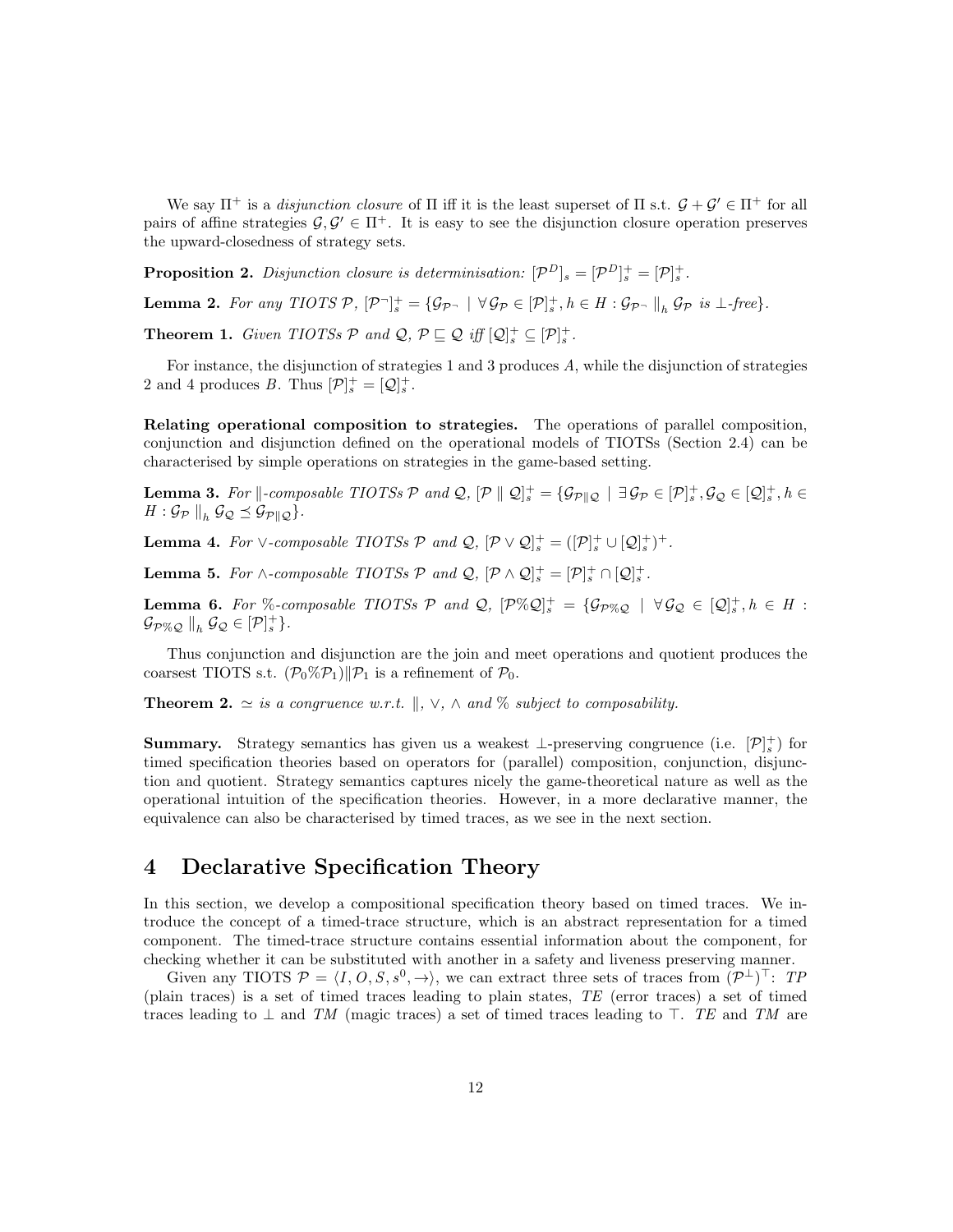We say  $\Pi^+$  is a *disjunction closure* of  $\Pi$  iff it is the least superset of  $\Pi$  s.t.  $\mathcal{G} + \mathcal{G}' \in \Pi^+$  for all pairs of affine strategies  $\mathcal{G}, \mathcal{G}' \in \Pi^+$ . It is easy to see the disjunction closure operation preserves the upward-closedness of strategy sets.

**Proposition 2.** Disjunction closure is determinisation:  $[\mathcal{P}^D]_s = [\mathcal{P}^D]_s^+ = [\mathcal{P}]_s^+$ .

**Lemma 2.** For any TIOTS  $P$ ,  $[P^-]_s^+ = \{G_{P^-} \mid \forall G_P \in [P]_s^+, h \in H : G_{P^-} \parallel_h G_P \text{ is } \perp \text{-free}\}.$ 

**Theorem 1.** Given TIOTSs  $P$  and  $Q$ ,  $P \sqsubseteq Q$  iff  $[Q]_s^+ \subseteq [P]_s^+$ .

For instance, the disjunction of strategies 1 and 3 produces A, while the disjunction of strategies 2 and 4 produces B. Thus  $[\mathcal{P}]_s^+ = [\mathcal{Q}]_s^+$ .

Relating operational composition to strategies. The operations of parallel composition, conjunction and disjunction defined on the operational models of TIOTSs (Section 2.4) can be characterised by simple operations on strategies in the game-based setting.

**Lemma 3.** For  $\Vert$ -composable TIOTSs  $\mathcal{P}$  and  $\mathcal{Q}$ ,  $[\mathcal{P} \Vert \mathcal{Q}]_s^+ = {\{\mathcal{G}_{\mathcal{P} \Vert \mathcal{Q}} \vert \exists \mathcal{G}_{\mathcal{P}}} \in [\mathcal{P}]_s^+, \mathcal{G}_{\mathcal{Q}} \in [\mathcal{Q}]_s^+, h \in$  $H: \mathcal{G}_{\mathcal{P}} \parallel_h \mathcal{G}_{\mathcal{Q}} \preceq \mathcal{G}_{\mathcal{P}}_{\parallel \mathcal{Q}}.$ 

**Lemma 4.** For  $\vee$ -composable TIOTSs  $\mathcal{P}$  and  $\mathcal{Q}, [\mathcal{P} \vee \mathcal{Q}]_s^+ = ([\mathcal{P}]_s^+ \cup [\mathcal{Q}]_s^+)^+$ .

**Lemma 5.** For  $\wedge$ -composable TIOTSs  $\mathcal{P}$  and  $\mathcal{Q}, [\mathcal{P} \wedge \mathcal{Q}]_s^+ = [\mathcal{P}]_s^+ \cap [\mathcal{Q}]_s^+$ .

**Lemma 6.** For %-composable TIOTSs  $P$  and  $Q$ ,  $[P\%\mathcal{Q}]_s^+=\{G_{P\%\mathcal{Q}} \mid \forall \mathcal{G}_{\mathcal{Q}} \in [\mathcal{Q}]_s^+, h \in H$ :  $\mathcal{G}_{\mathcal{P}\% \mathcal{Q}}\parallel_h\mathcal{G}_{\mathcal{Q}}\in [\mathcal{P}]_s^+\}.$ 

Thus conjunction and disjunction are the join and meet operations and quotient produces the coarsest TIOTS s.t.  $(\mathcal{P}_0 \%\mathcal{P}_1) \| \mathcal{P}_1$  is a refinement of  $\mathcal{P}_0$ .

**Theorem 2.**  $\simeq$  is a congruence w.r.t.  $\parallel$ ,  $\vee$ ,  $\wedge$  and  $\%$  subject to composability.

**Summary.** Strategy semantics has given us a weakest ⊥-preserving congruence (i.e.  $[\mathcal{P}]_s^+$ ) for timed specification theories based on operators for (parallel) composition, conjunction, disjunction and quotient. Strategy semantics captures nicely the game-theoretical nature as well as the operational intuition of the specification theories. However, in a more declarative manner, the equivalence can also be characterised by timed traces, as we see in the next section.

## 4 Declarative Specification Theory

In this section, we develop a compositional specification theory based on timed traces. We introduce the concept of a timed-trace structure, which is an abstract representation for a timed component. The timed-trace structure contains essential information about the component, for checking whether it can be substituted with another in a safety and liveness preserving manner.

Given any TIOTS  $\mathcal{P} = \langle I, O, S, s^0, \to \rangle$ , we can extract three sets of traces from  $(\mathcal{P}^{\perp})^{\top}$ : TP (plain traces) is a set of timed traces leading to plain states, TE (error traces) a set of timed traces leading to  $\perp$  and TM (magic traces) a set of timed traces leading to  $\top$ . TE and TM are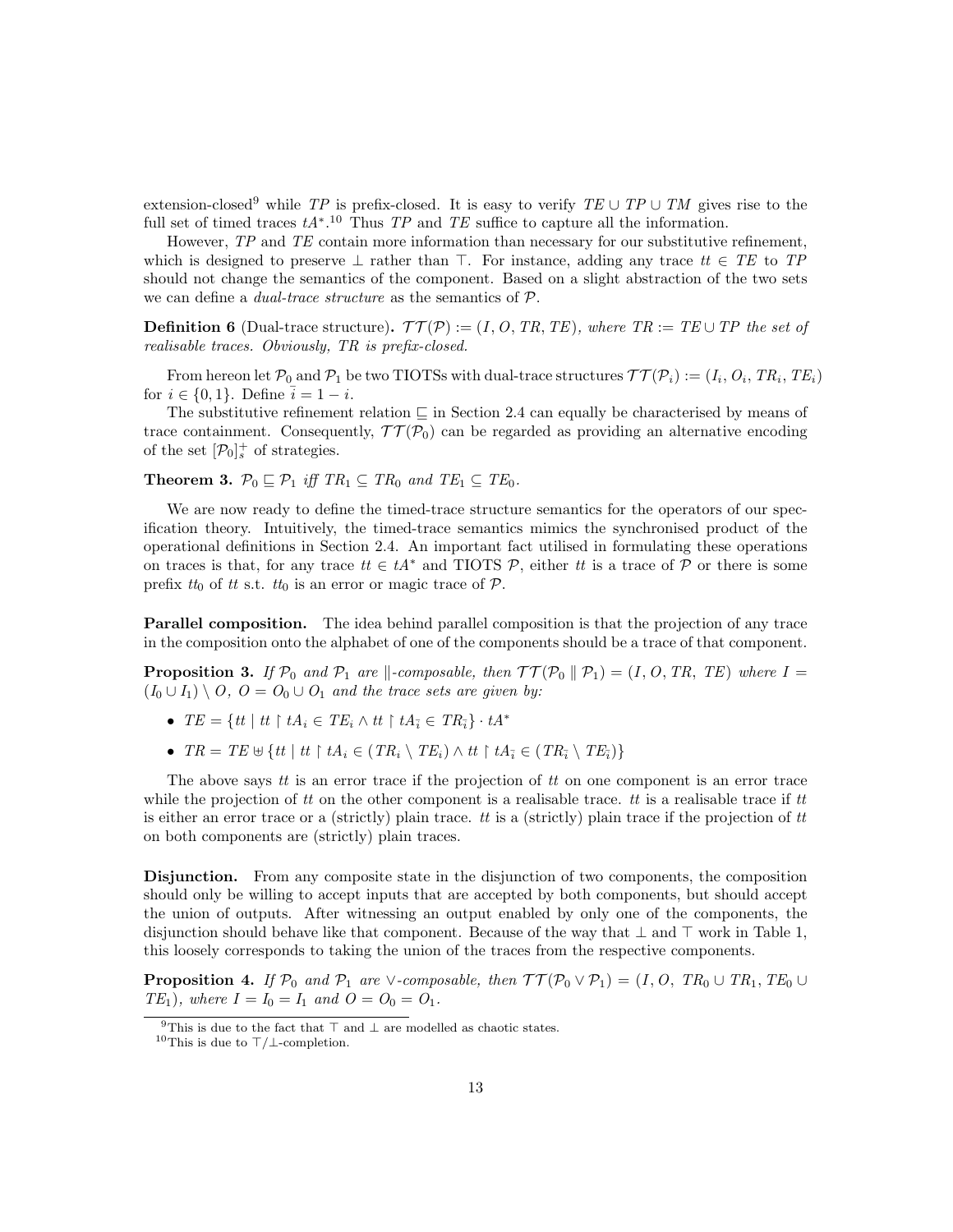extension-closed<sup>9</sup> while TP is prefix-closed. It is easy to verify TE ∪ TP ∪ TM gives rise to the full set of timed traces  $tA^*$ <sup>10</sup> Thus TP and TE suffice to capture all the information.

However, TP and TE contain more information than necessary for our substitutive refinement, which is designed to preserve  $\perp$  rather than  $\top$ . For instance, adding any trace  $tt \in TE$  to TP should not change the semantics of the component. Based on a slight abstraction of the two sets we can define a dual-trace structure as the semantics of P.

**Definition 6** (Dual-trace structure).  $TT(\mathcal{P}) := (I, O, TR, TE)$ , where  $TR := TE \cup TP$  the set of realisable traces. Obviously, TR is prefix-closed.

From hereon let  $\mathcal{P}_0$  and  $\mathcal{P}_1$  be two TIOTSs with dual-trace structures  $\mathcal{TT}(\mathcal{P}_i) := (I_i, O_i, TR_i, TE_i)$ for  $i \in \{0, 1\}$ . Define  $\bar{i} = 1 - i$ .

The substitutive refinement relation  $\Box$  in Section 2.4 can equally be characterised by means of trace containment. Consequently,  $TT(\mathcal{P}_0)$  can be regarded as providing an alternative encoding of the set  $[\mathcal{P}_0]_s^+$  of strategies.

**Theorem 3.**  $\mathcal{P}_0 \subseteq \mathcal{P}_1$  iff  $TR_1 \subseteq TR_0$  and  $TE_1 \subseteq TE_0$ .

We are now ready to define the timed-trace structure semantics for the operators of our specification theory. Intuitively, the timed-trace semantics mimics the synchronised product of the operational definitions in Section 2.4. An important fact utilised in formulating these operations on traces is that, for any trace  $tt \in tA^*$  and TIOTS  $\mathcal{P}$ , either tt is a trace of  $\mathcal{P}$  or there is some prefix  $tt_0$  of  $tt$  s.t.  $tt_0$  is an error or magic trace of  $P$ .

Parallel composition. The idea behind parallel composition is that the projection of any trace in the composition onto the alphabet of one of the components should be a trace of that component.

**Proposition 3.** If  $\mathcal{P}_0$  and  $\mathcal{P}_1$  are  $\parallel$ -composable, then  $\mathcal{TT}(\mathcal{P}_0 \parallel \mathcal{P}_1) = (I, O, TR, TE)$  where  $I =$  $(I_0 \cup I_1) \setminus O$ ,  $O = O_0 \cup O_1$  and the trace sets are given by:

- $TE = \{tt \mid tt \restriction tA_i \in TE_i \land tt \restriction tA_{\overline{i}} \in TR_{\overline{i}} \} \cdot tA^*$
- $TR = TE \uplus \{tt \mid tt \restriction tA_i \in (TR_i \setminus TE_i) \land tt \restriction tA_{\overline{i}} \in (TR_{\overline{i}} \setminus TE_{\overline{i}})\}$

The above says  $tt$  is an error trace if the projection of  $tt$  on one component is an error trace while the projection of  $tt$  on the other component is a realisable trace.  $tt$  is a realisable trace if  $tt$ is either an error trace or a (strictly) plain trace.  $tt$  is a (strictly) plain trace if the projection of  $tt$ on both components are (strictly) plain traces.

Disjunction. From any composite state in the disjunction of two components, the composition should only be willing to accept inputs that are accepted by both components, but should accept the union of outputs. After witnessing an output enabled by only one of the components, the disjunction should behave like that component. Because of the way that  $\perp$  and  $\top$  work in Table 1, this loosely corresponds to taking the union of the traces from the respective components.

**Proposition 4.** If  $\mathcal{P}_0$  and  $\mathcal{P}_1$  are ∨-composable, then  $TT(\mathcal{P}_0 \vee \mathcal{P}_1) = (I, O, TR_0 \cup TR_1, TE_0 \cup$ TE<sub>1</sub>), where  $I = I_0 = I_1$  and  $O = O_0 = O_1$ .

<sup>&</sup>lt;sup>9</sup>This is due to the fact that  $\top$  and  $\bot$  are modelled as chaotic states.

 $^{10}\mathrm{This}$  is due to  $\top/\bot\text{-completion}.$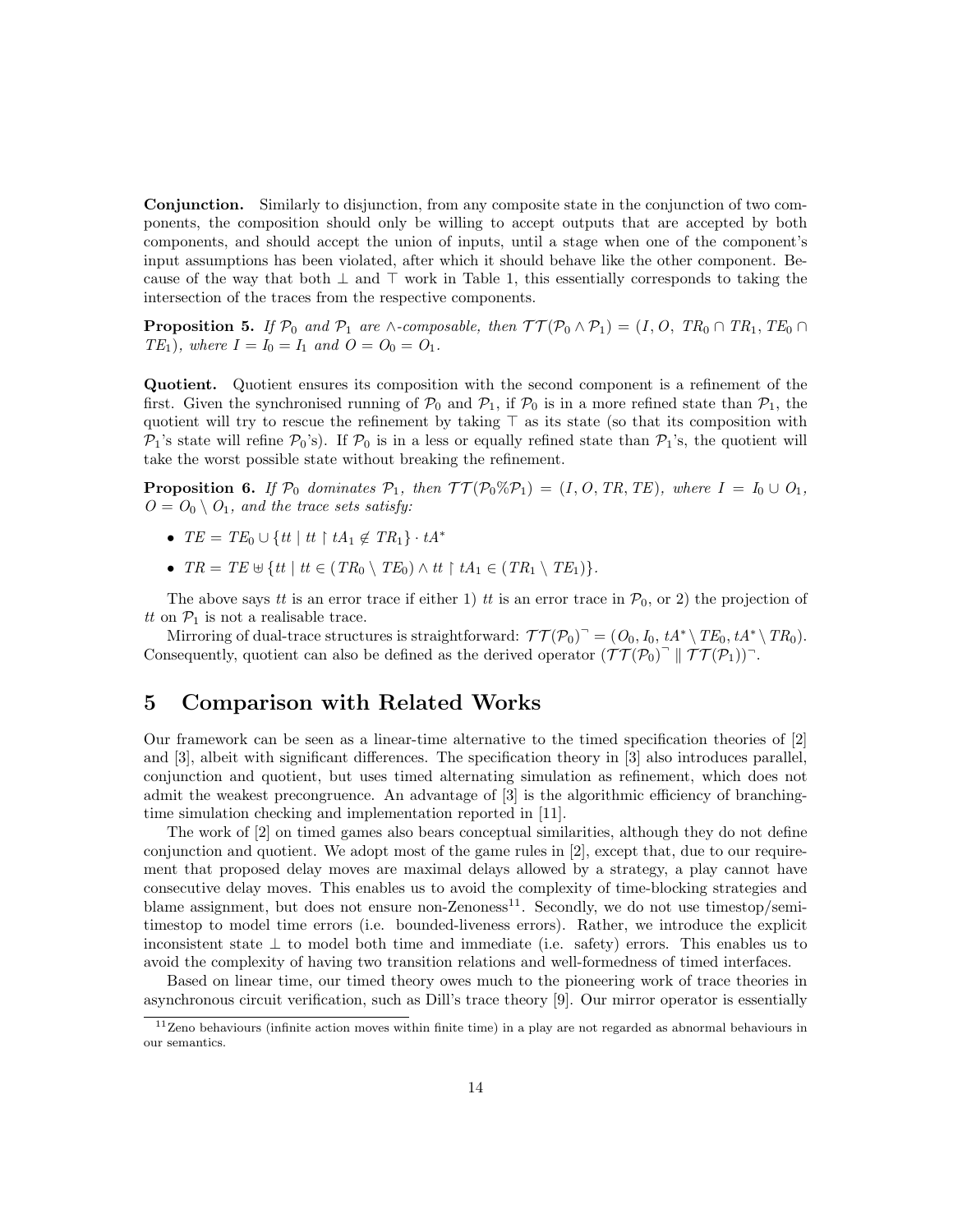Conjunction. Similarly to disjunction, from any composite state in the conjunction of two components, the composition should only be willing to accept outputs that are accepted by both components, and should accept the union of inputs, until a stage when one of the component's input assumptions has been violated, after which it should behave like the other component. Because of the way that both  $\perp$  and  $\top$  work in Table 1, this essentially corresponds to taking the intersection of the traces from the respective components.

**Proposition 5.** If  $\mathcal{P}_0$  and  $\mathcal{P}_1$  are  $\wedge$ -composable, then  $TT(\mathcal{P}_0 \wedge \mathcal{P}_1) = (I, O, TR_0 \cap TR_1, TE_0 \cap T_0)$ TE<sub>1</sub>), where  $I = I_0 = I_1$  and  $O = O_0 = O_1$ .

Quotient. Quotient ensures its composition with the second component is a refinement of the first. Given the synchronised running of  $P_0$  and  $P_1$ , if  $P_0$  is in a more refined state than  $P_1$ , the quotient will try to rescue the refinement by taking  $\top$  as its state (so that its composition with  $P_1$ 's state will refine  $P_0$ 's). If  $P_0$  is in a less or equally refined state than  $P_1$ 's, the quotient will take the worst possible state without breaking the refinement.

**Proposition 6.** If  $\mathcal{P}_0$  dominates  $\mathcal{P}_1$ , then  $\mathcal{TT}(\mathcal{P}_0 \%\mathcal{P}_1) = (I, O, TR, TE)$ , where  $I = I_0 \cup O_1$ ,  $O = O_0 \setminus O_1$ , and the trace sets satisfy:

- $TE = TE_0 \cup \{tt \mid tt \restriction tA_1 \notin TR_1\} \cdot tA^*$
- $TR = TE \oplus \{tt \mid tt \in (TR_0 \setminus TE_0) \wedge tt \upharpoonright tA_1 \in (TR_1 \setminus TE_1)\}.$

The above says tt is an error trace if either 1) it is an error trace in  $\mathcal{P}_0$ , or 2) the projection of tt on  $\mathcal{P}_1$  is not a realisable trace.

Mirroring of dual-trace structures is straightforward:  $TT(\mathcal{P}_0)^{T} = (O_0, I_0, tA^* \setminus TE_0, tA^* \setminus TR_0)$ . Consequently, quotient can also be defined as the derived operator  $(\mathcal{TT}(\mathcal{P}_0)^{\top} \parallel \mathcal{TT}(\mathcal{P}_1))^{\top}$ .

## 5 Comparison with Related Works

Our framework can be seen as a linear-time alternative to the timed specification theories of [2] and [3], albeit with significant differences. The specification theory in [3] also introduces parallel, conjunction and quotient, but uses timed alternating simulation as refinement, which does not admit the weakest precongruence. An advantage of [3] is the algorithmic efficiency of branchingtime simulation checking and implementation reported in [11].

The work of [2] on timed games also bears conceptual similarities, although they do not define conjunction and quotient. We adopt most of the game rules in [2], except that, due to our requirement that proposed delay moves are maximal delays allowed by a strategy, a play cannot have consecutive delay moves. This enables us to avoid the complexity of time-blocking strategies and blame assignment, but does not ensure non-Zenoness<sup>11</sup>. Secondly, we do not use timestop/semitimestop to model time errors (i.e. bounded-liveness errors). Rather, we introduce the explicit inconsistent state  $\perp$  to model both time and immediate (i.e. safety) errors. This enables us to avoid the complexity of having two transition relations and well-formedness of timed interfaces.

Based on linear time, our timed theory owes much to the pioneering work of trace theories in asynchronous circuit verification, such as Dill's trace theory [9]. Our mirror operator is essentially

 $11$ Zeno behaviours (infinite action moves within finite time) in a play are not regarded as abnormal behaviours in our semantics.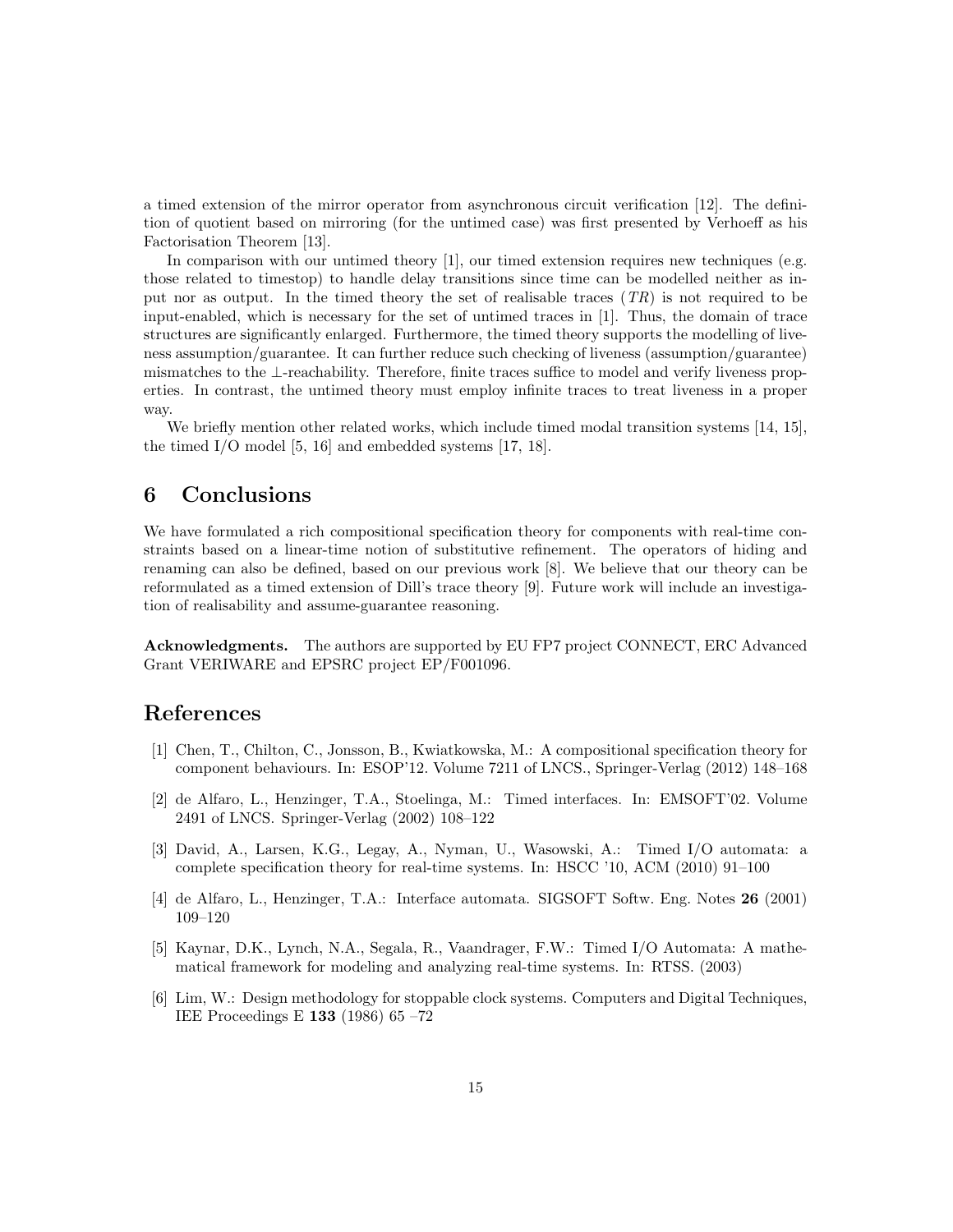a timed extension of the mirror operator from asynchronous circuit verification [12]. The definition of quotient based on mirroring (for the untimed case) was first presented by Verhoeff as his Factorisation Theorem [13].

In comparison with our untimed theory [1], our timed extension requires new techniques (e.g. those related to timestop) to handle delay transitions since time can be modelled neither as input nor as output. In the timed theory the set of realisable traces  $(TR)$  is not required to be input-enabled, which is necessary for the set of untimed traces in [1]. Thus, the domain of trace structures are significantly enlarged. Furthermore, the timed theory supports the modelling of liveness assumption/guarantee. It can further reduce such checking of liveness (assumption/guarantee) mismatches to the ⊥-reachability. Therefore, finite traces suffice to model and verify liveness properties. In contrast, the untimed theory must employ infinite traces to treat liveness in a proper way.

We briefly mention other related works, which include timed modal transition systems [14, 15], the timed I/O model [5, 16] and embedded systems [17, 18].

## 6 Conclusions

We have formulated a rich compositional specification theory for components with real-time constraints based on a linear-time notion of substitutive refinement. The operators of hiding and renaming can also be defined, based on our previous work [8]. We believe that our theory can be reformulated as a timed extension of Dill's trace theory [9]. Future work will include an investigation of realisability and assume-guarantee reasoning.

Acknowledgments. The authors are supported by EU FP7 project CONNECT, ERC Advanced Grant VERIWARE and EPSRC project EP/F001096.

## References

- [1] Chen, T., Chilton, C., Jonsson, B., Kwiatkowska, M.: A compositional specification theory for component behaviours. In: ESOP'12. Volume 7211 of LNCS., Springer-Verlag (2012) 148–168
- [2] de Alfaro, L., Henzinger, T.A., Stoelinga, M.: Timed interfaces. In: EMSOFT'02. Volume 2491 of LNCS. Springer-Verlag (2002) 108–122
- [3] David, A., Larsen, K.G., Legay, A., Nyman, U., Wasowski, A.: Timed I/O automata: a complete specification theory for real-time systems. In: HSCC '10, ACM (2010) 91–100
- [4] de Alfaro, L., Henzinger, T.A.: Interface automata. SIGSOFT Softw. Eng. Notes 26 (2001) 109–120
- [5] Kaynar, D.K., Lynch, N.A., Segala, R., Vaandrager, F.W.: Timed I/O Automata: A mathematical framework for modeling and analyzing real-time systems. In: RTSS. (2003)
- [6] Lim, W.: Design methodology for stoppable clock systems. Computers and Digital Techniques, IEE Proceedings E 133 (1986) 65 –72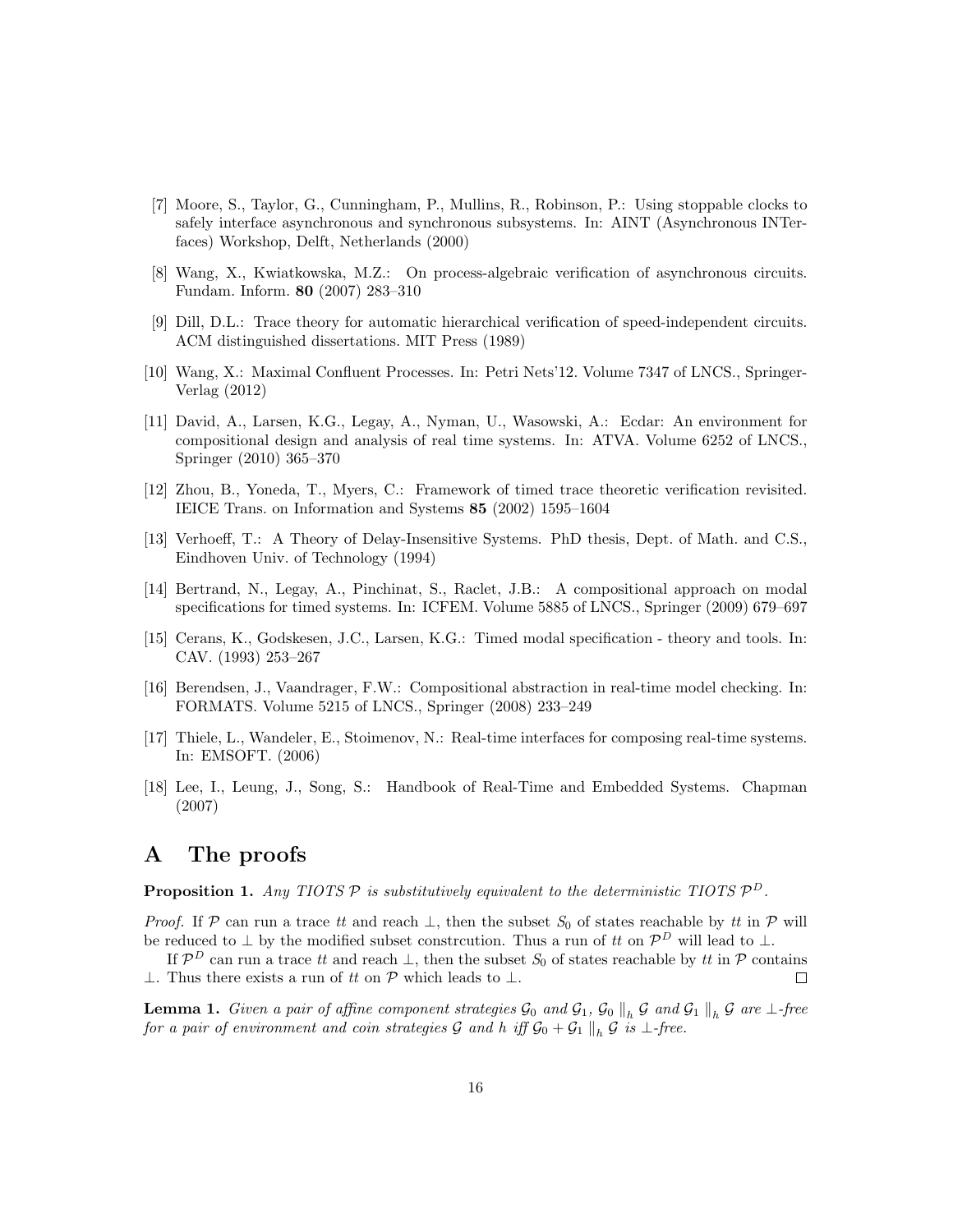- [7] Moore, S., Taylor, G., Cunningham, P., Mullins, R., Robinson, P.: Using stoppable clocks to safely interface asynchronous and synchronous subsystems. In: AINT (Asynchronous INTerfaces) Workshop, Delft, Netherlands (2000)
- [8] Wang, X., Kwiatkowska, M.Z.: On process-algebraic verification of asynchronous circuits. Fundam. Inform. 80 (2007) 283–310
- [9] Dill, D.L.: Trace theory for automatic hierarchical verification of speed-independent circuits. ACM distinguished dissertations. MIT Press (1989)
- [10] Wang, X.: Maximal Confluent Processes. In: Petri Nets'12. Volume 7347 of LNCS., Springer-Verlag (2012)
- [11] David, A., Larsen, K.G., Legay, A., Nyman, U., Wasowski, A.: Ecdar: An environment for compositional design and analysis of real time systems. In: ATVA. Volume 6252 of LNCS., Springer (2010) 365–370
- [12] Zhou, B., Yoneda, T., Myers, C.: Framework of timed trace theoretic verification revisited. IEICE Trans. on Information and Systems 85 (2002) 1595–1604
- [13] Verhoeff, T.: A Theory of Delay-Insensitive Systems. PhD thesis, Dept. of Math. and C.S., Eindhoven Univ. of Technology (1994)
- [14] Bertrand, N., Legay, A., Pinchinat, S., Raclet, J.B.: A compositional approach on modal specifications for timed systems. In: ICFEM. Volume 5885 of LNCS., Springer (2009) 679–697
- [15] Cerans, K., Godskesen, J.C., Larsen, K.G.: Timed modal specification theory and tools. In: CAV. (1993) 253–267
- [16] Berendsen, J., Vaandrager, F.W.: Compositional abstraction in real-time model checking. In: FORMATS. Volume 5215 of LNCS., Springer (2008) 233–249
- [17] Thiele, L., Wandeler, E., Stoimenov, N.: Real-time interfaces for composing real-time systems. In: EMSOFT. (2006)
- [18] Lee, I., Leung, J., Song, S.: Handbook of Real-Time and Embedded Systems. Chapman (2007)

## A The proofs

**Proposition 1.** Any TIOTS  $\mathcal{P}$  is substitutively equivalent to the deterministic TIOTS  $\mathcal{P}^D$ .

*Proof.* If P can run a trace tt and reach  $\perp$ , then the subset  $S_0$  of states reachable by tt in P will be reduced to  $\perp$  by the modified subset constrcution. Thus a run of tt on  $\mathcal{P}^D$  will lead to  $\perp$ .

If  $\mathcal{P}^D$  can run a trace tt and reach  $\perp$ , then the subset  $S_0$  of states reachable by tt in  $\mathcal P$  contains ⊥. Thus there exists a run of tt on  $\mathcal P$  which leads to ⊥.  $\Box$ 

**Lemma 1.** Given a pair of affine component strategies  $\mathcal{G}_0$  and  $\mathcal{G}_1$ ,  $\mathcal{G}_0 \parallel_h \mathcal{G}$  and  $\mathcal{G}_1 \parallel_h \mathcal{G}$  are ⊥-free for a pair of environment and coin strategies  $\mathcal G$  and h iff  $\mathcal G_0+\mathcal G_1\parallel_h\mathcal G$  is  $\bot$ -free.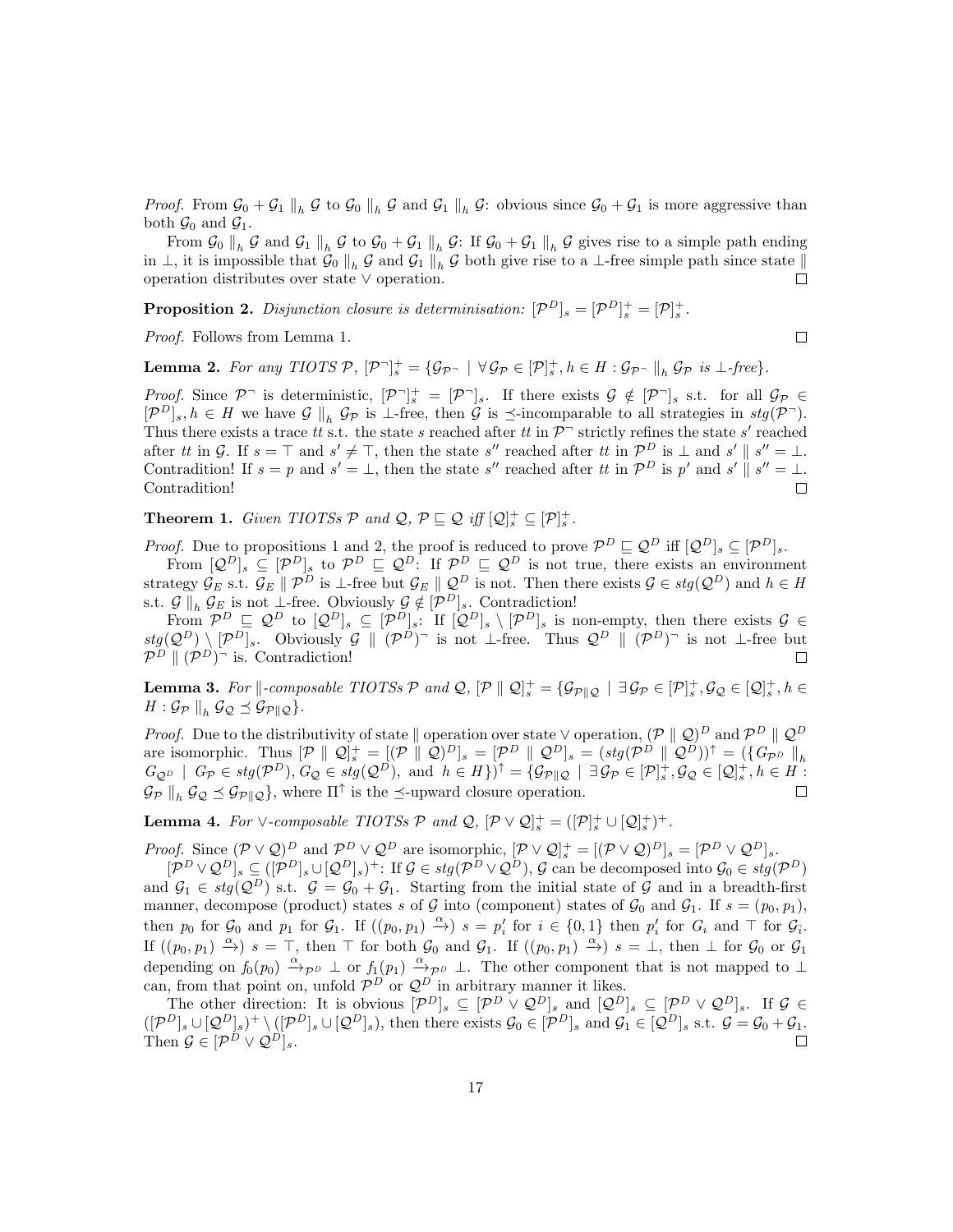*Proof.* From  $\mathcal{G}_0 + \mathcal{G}_1 \parallel_h \mathcal{G}$  to  $\mathcal{G}_0 \parallel_h \mathcal{G}$  and  $\mathcal{G}_1 \parallel_h \mathcal{G}$ : obvious since  $\mathcal{G}_0 + \mathcal{G}_1$  is more aggressive than both  $\mathcal{G}_0$  and  $\mathcal{G}_1$ .

From  $\mathcal{G}_0 \parallel_h \mathcal{G}$  and  $\mathcal{G}_1 \parallel_h \mathcal{G}$  to  $\mathcal{G}_0 + \mathcal{G}_1 \parallel_h \mathcal{G}$ : If  $\mathcal{G}_0 + \mathcal{G}_1 \parallel_h \mathcal{G}$  gives rise to a simple path ending in  $\perp$ , it is impossible that  $\mathcal{G}_0 \parallel_h \mathcal{G}$  and  $\mathcal{G}_1 \parallel_h \mathcal{G}$  both give rise to a  $\perp$ -free simple path since state  $\parallel$ operation distributes over state ∨ operation.  $\Box$ 

**Proposition 2.** Disjunction closure is determinisation:  $[\mathcal{P}^D]_s = [\mathcal{P}^D]_s^+ = [\mathcal{P}]_s^+$ .

Proof. Follows from Lemma 1.

**Lemma 2.** For any TIOTS  $P$ ,  $[P^-]_s^+ = \{G_{P^-} \mid \forall G_P \in [P]_s^+, h \in H : G_{P^-} \parallel_h G_P \text{ is } \perp \text{-free}\}.$ 

Proof. Since  $P^-$  is deterministic,  $[P^-]_s^+ = [P^-]_s$ . If there exists  $\mathcal{G} \notin [P^-]_s$  s.t. for all  $\mathcal{G}_{\mathcal{P}} \in$  $[\mathcal{P}^D]_s, h \in H$  we have  $\mathcal{G} \parallel_h \mathcal{G}_{\mathcal{P}}$  is  $\bot$ -free, then  $\mathcal{G}$  is  $\preceq$ -incomparable to all strategies in  $stg(\mathcal{P}^{-})$ . Thus there exists a trace *tt* s.t. the state s reached after *tt* in  $\mathcal{P}$ <sup>-</sup> strictly refines the state s' reached after tt in G. If  $s = \top$  and  $s' \neq \top$ , then the state s'' reached after tt in  $\mathcal{P}^D$  is  $\bot$  and  $s' \parallel s'' = \bot$ . Contradition! If  $s = p$  and  $s' = \perp$ , then the state s'' reached after tt in  $\mathcal{P}^D$  is p' and s' || s'' =  $\perp$ .  $\Box$ Contradition!

**Theorem 1.** Given TIOTSs  $P$  and  $Q$ ,  $P \sqsubseteq Q$  iff  $[Q]_s^+ \subseteq [P]_s^+$ .

*Proof.* Due to propositions 1 and 2, the proof is reduced to prove  $\mathcal{P}^D \subseteq \mathcal{Q}^D$  iff  $[\mathcal{Q}^D]_s \subseteq [\mathcal{P}^D]_s$ .

From  $[Q^D]_s \subseteq [P^D]_s$  to  $\mathcal{P}^D \sqsubseteq Q^D$ : If  $\mathcal{P}^D \sqsubseteq Q^D$  is not true, there exists an environment strategy  $\mathcal{G}_E$  s.t.  $\mathcal{G}_E \parallel \mathcal{P}^D$  is ⊥-free but  $\mathcal{G}_E \parallel \mathcal{Q}^D$  is not. Then there exists  $\mathcal{G} \in stg(\mathcal{Q}^D)$  and  $h \in H$ s.t.  $\mathcal{G} \parallel_h \mathcal{G}_{E}$  is not ⊥-free. Obviously  $\mathcal{G} \notin [\mathcal{P}^D]_s$ . Contradiction!

From  $\mathcal{P}^D \subseteq \mathcal{Q}^D$  to  $[\mathcal{Q}^D]_s \subseteq [\mathcal{P}^D]_s$ : If  $[\mathcal{Q}^D]_s \setminus [\mathcal{P}^D]_s$  is non-empty, then there exists  $\mathcal{G} \in$  $stg(\mathcal{Q}^D) \setminus [\mathcal{P}^D]_s$ . Obviously  $\mathcal{G} \parallel (\mathcal{P}^D)$  is not  $\bot$ -free. Thus  $\mathcal{Q}^D \parallel (\mathcal{P}^D)$  is not  $\bot$ -free but  $\mathcal{P}^D \parallel (\mathcal{P}^D)$ <sup>-</sup> is. Contradiction!

**Lemma 3.** For  $\Vert$ -composable TIOTSs  $\mathcal{P}$  and  $\mathcal{Q}$ ,  $[\mathcal{P} \Vert \mathcal{Q}]_s^+ = {\{\mathcal{G}_{\mathcal{P} \Vert \mathcal{Q}} \vert \exists \mathcal{G}_{\mathcal{P}}} \in [\mathcal{P}]_s^+, \mathcal{G}_{\mathcal{Q}} \in [\mathcal{Q}]_s^+, h \in$  $H: \mathcal{G}_{\mathcal{P}} \parallel_h \mathcal{G}_{\mathcal{Q}} \preceq \mathcal{G}_{\mathcal{P}}_{\parallel \mathcal{Q}}.$ 

*Proof.* Due to the distributivity of state  $\parallel$  operation over state  $\vee$  operation,  $(\mathcal{P} \parallel \mathcal{Q})^D$  and  $\mathcal{P}^D \parallel \mathcal{Q}^D$ are isomorphic. Thus  $[\mathcal{P} \parallel \mathcal{Q}]_s^+ = [(\mathcal{P} \parallel \mathcal{Q})^D]_s = [\mathcal{P}^D \parallel \mathcal{Q}^D]_s = (stg(\mathcal{P}^D \parallel \mathcal{Q}^D))^{\uparrow} = (\{G_{\mathcal{P}^D} \parallel_h$  $G_{\mathcal{Q}^D}$  |  $G_{\mathcal{P}} \in \text{stg}(\mathcal{P}^D)$ ,  $G_{\mathcal{Q}} \in \text{stg}(\mathcal{Q}^D)$ , and  $h \in H$ })<sup> $\uparrow$ </sup> = { $\mathcal{G}_{\mathcal{P}} ||_{\mathcal{Q}}$  |  $\exists \mathcal{G}_{\mathcal{P}} \in [\mathcal{P}]_s^+, \mathcal{G}_{\mathcal{Q}} \in [\mathcal{Q}]_s^+, h \in H$ :  $\mathcal{G}_{\mathcal{P}} \parallel_h \mathcal{G}_{\mathcal{Q}} \preceq \mathcal{G}_{\mathcal{P}} ||_{\mathcal{Q}}$ , where  $\Pi^{\uparrow}$  is the  $\preceq$ -upward closure operation. П

**Lemma 4.** For  $\vee$ -composable TIOTSs  $\mathcal{P}$  and  $\mathcal{Q}, [\mathcal{P} \vee \mathcal{Q}]_s^+ = ([\mathcal{P}]_s^+ \cup [\mathcal{Q}]_s^+)^+$ .

*Proof.* Since  $(\mathcal{P} \vee \mathcal{Q})^D$  and  $\mathcal{P}^D \vee \mathcal{Q}^D$  are isomorphic,  $[\mathcal{P} \vee \mathcal{Q}]_s^+ = [(\mathcal{P} \vee \mathcal{Q})^D]_s = [\mathcal{P}^D \vee \mathcal{Q}^D]_s$ .

 $[\mathcal{P}^D \vee \mathcal{Q}^D]_s \subseteq ([\mathcal{P}^D]_s \cup [\mathcal{Q}^D]_s)^+$ : If  $\mathcal{G} \in stg(\mathcal{P}^D \vee \mathcal{Q}^D)$ ,  $\mathcal{G}$  can be decomposed into  $\mathcal{G}_0 \in stg(\mathcal{P}^D)$ and  $\mathcal{G}_1 \in stg(\mathcal{Q}^D)$  s.t.  $\mathcal{G} = \mathcal{G}_0 + \mathcal{G}_1$ . Starting from the initial state of  $\mathcal{G}$  and in a breadth-first manner, decompose (product) states s of G into (component) states of  $\mathcal{G}_0$  and  $\mathcal{G}_1$ . If  $s = (p_0, p_1)$ , then  $p_0$  for  $\mathcal{G}_0$  and  $p_1$  for  $\mathcal{G}_1$ . If  $((p_0, p_1) \stackrel{\alpha}{\rightarrow})$   $s = p'_i$  for  $i \in \{0, 1\}$  then  $p'_i$  for  $G_i$  and  $\top$  for  $\mathcal{G}_i$ . If  $((p_0, p_1) \xrightarrow{\alpha} s = \top$ , then  $\top$  for both  $\mathcal{G}_0$  and  $\mathcal{G}_1$ . If  $((p_0, p_1) \xrightarrow{\alpha} s = \bot$ , then  $\bot$  for  $\mathcal{G}_0$  or  $\mathcal{G}_1$ depending on  $f_0(p_0) \xrightarrow{\alpha}_{\mathcal{P}^D} \perp$  or  $f_1(p_1) \xrightarrow{\alpha}_{\mathcal{P}^D} \perp$ . The other component that is not mapped to  $\perp$ can, from that point on, unfold  $\mathcal{P}^D$  or  $\mathcal{Q}^D$  in arbitrary manner it likes.

The other direction: It is obvious  $[\mathcal{P}^D]_s \subseteq [\mathcal{P}^D \vee \mathcal{Q}^D]_s$  and  $[\mathcal{Q}^D]_s \subseteq [\mathcal{P}^D \vee \mathcal{Q}^D]_s$ . If  $\mathcal{G} \in$  $([\mathcal{P}^D]_s \cup [\mathcal{Q}^D]_s)^+ \setminus ([\mathcal{P}^D]_s \cup [\mathcal{Q}^D]_s)$ , then there exists  $\mathcal{G}_0 \in [\mathcal{P}^D]_s$  and  $\mathcal{G}_1 \in [\mathcal{Q}^D]_s$  s.t.  $\mathcal{G} = \mathcal{G}_0 + \mathcal{G}_1$ . Then  $\mathcal{G} \in [\mathcal{P}^D \vee \mathcal{Q}^D]_s$ .

 $\Box$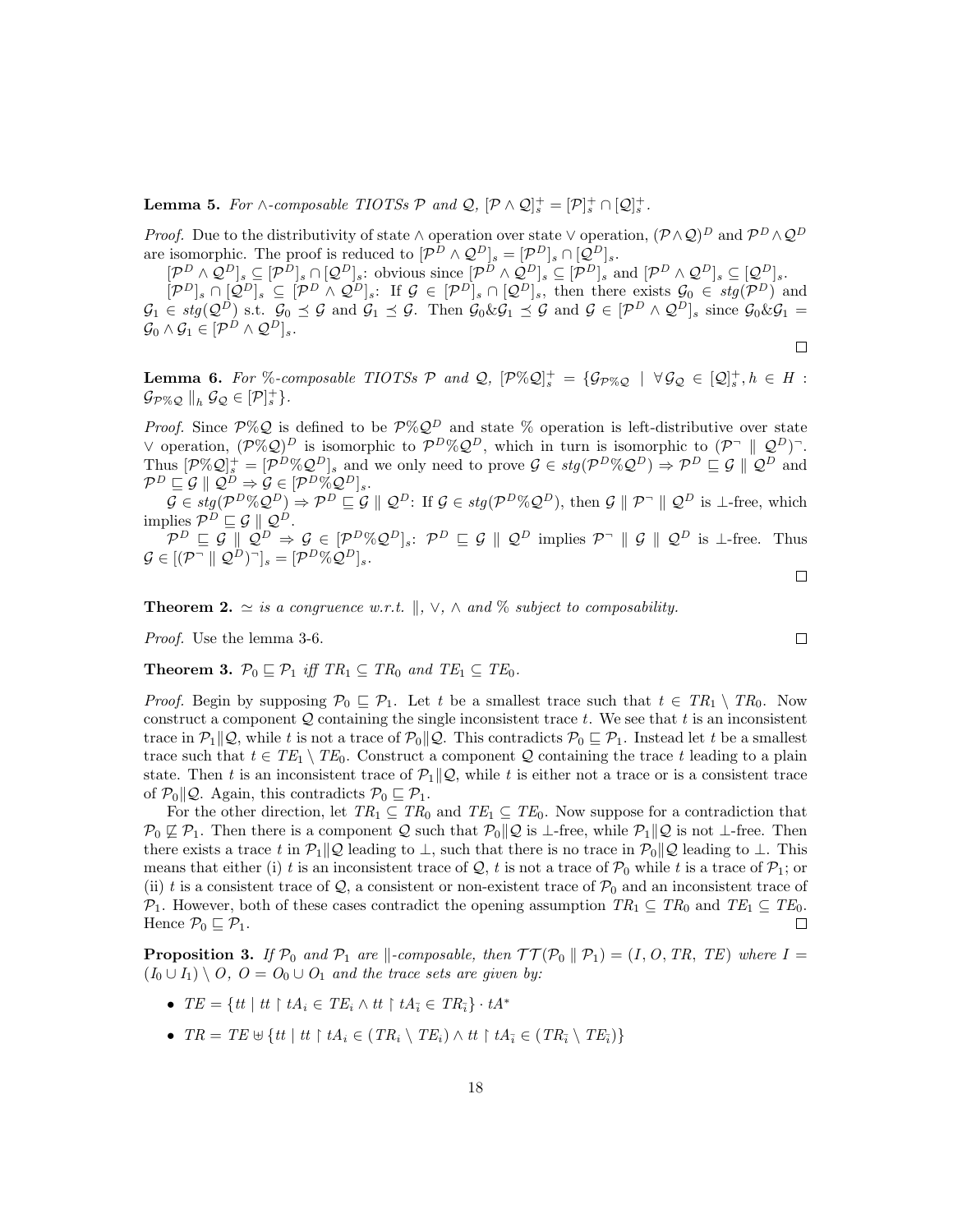**Lemma 5.** For  $\wedge$ -composable TIOTSs  $\mathcal{P}$  and  $\mathcal{Q}, [\mathcal{P} \wedge \mathcal{Q}]_s^+ = [\mathcal{P}]_s^+ \cap [\mathcal{Q}]_s^+$ .

*Proof.* Due to the distributivity of state ∧ operation over state  $\vee$  operation,  $(\mathcal{P} \wedge \mathcal{Q})^D$  and  $\mathcal{P}^D \wedge \mathcal{Q}^D$ are isomorphic. The proof is reduced to  $[\mathcal{P}^D \wedge \mathcal{Q}^D]_s = [\mathcal{P}^D]_s \cap [\mathcal{Q}^D]_s$ .

 $[\mathcal{P}^D \wedge \mathcal{Q}^D]_s \subseteq [\mathcal{P}^D]_s \cap [\mathcal{Q}^D]_s$ : obvious since  $[\mathcal{P}^D \wedge \mathcal{Q}^D]_s \subseteq [\mathcal{P}^D]_s$  and  $[\mathcal{P}^D \wedge \mathcal{Q}^D]_s \subseteq [\mathcal{Q}^D]_s$ .  $[\mathcal{P}^D]_s \cap [\mathcal{Q}^D]_s \subseteq [\mathcal{P}^D \wedge \mathcal{Q}^D]_s$ : If  $\mathcal{G} \in [\mathcal{P}^D]_s \cap [\mathcal{Q}^D]_s$ , then there exists  $\mathcal{G}_0 \in stg(\mathcal{P}^D)$  and  $\mathcal{G}_1 \in stg(\mathcal{Q}^D)$  s.t.  $\mathcal{G}_0 \preceq \mathcal{G}$  and  $\mathcal{G}_1 \preceq \mathcal{G}$ . Then  $\mathcal{G}_0 \& \mathcal{G}_1 \preceq \mathcal{G}$  and  $\mathcal{G} \in [\mathcal{P}^D \wedge \mathcal{Q}^D]_s$  since  $\mathcal{G}_0 \& \mathcal{G}_1 =$  $\mathcal{G}_0 \wedge \mathcal{G}_1 \in [\mathcal{P}^D \wedge \mathcal{Q}^D]_s.$  $\Box$ 

**Lemma 6.** For %-composable TIOTSs  $P$  and  $Q$ ,  $[P\%\mathcal{Q}]_s^+=\{G_{P\%\mathcal{Q}} \mid \forall \mathcal{G}_{\mathcal{Q}} \in [\mathcal{Q}]_s^+, h \in H$ :  $\mathcal{G}_{\mathcal{P}\% \mathcal{Q}}\parallel_h\mathcal{G}_{\mathcal{Q}}\in [\mathcal{P}]_s^+\}.$ 

*Proof.* Since  $P\%Q$  is defined to be  $P\%Q^D$  and state % operation is left-distributive over state ∨ operation,  $(\mathcal{P} \% \mathcal{Q})^D$  is isomorphic to  $\mathcal{P}^D \% \mathcal{Q}^D$ , which in turn is isomorphic to  $(\mathcal{P} \circ \mathcal{Q}^D)$ . Thus  $[\mathcal{P}\% \mathcal{Q}]_s^+ = [\mathcal{P}^D\% \mathcal{Q}^D]_s$  and we only need to prove  $\mathcal{G} \in stg(\mathcal{P}^D\% \mathcal{Q}^D) \Rightarrow \mathcal{P}^D \sqsubseteq \mathcal{G} \parallel \mathcal{Q}^D$  and  $\mathcal{P}^D \sqsubseteq \mathcal{G} \parallel \mathcal{Q}^D \Rightarrow \mathcal{G} \in [\mathcal{P}^D \% \mathcal{Q}^D]_s.$ 

 $\mathcal{G} \in stg(\mathcal{P}^D \% \mathcal{Q}^D) \Rightarrow \mathcal{P}^D \sqsubseteq \mathcal{G} \parallel \mathcal{Q}^D$ : If  $\mathcal{G} \in stg(\mathcal{P}^D \% \mathcal{Q}^D)$ , then  $\mathcal{G} \parallel \mathcal{P} \neg \parallel \mathcal{Q}^D$  is  $\bot$ -free, which implies  $\mathcal{P}^D \sqsubseteq \mathcal{G} \parallel \mathcal{Q}^D$ .

 $\mathcal{P}^D \sqsubseteq \mathcal{G} \parallel \mathcal{Q}^D \Rightarrow \mathcal{G} \in [\mathcal{P}^D \% \mathcal{Q}^D]_s$ :  $\mathcal{P}^D \sqsubseteq \mathcal{G} \parallel \mathcal{Q}^D$  implies  $\mathcal{P}^- \parallel \mathcal{G} \parallel \mathcal{Q}^D$  is  $\bot$ -free. Thus  $\mathcal{G} \in [(\mathcal{P}^\neg \parallel \mathcal{Q}^D)^\neg]_s = [\mathcal{P}^D \% \mathcal{Q}^D]_s.$  $\Box$ 

**Theorem 2.**  $\simeq$  is a congruence w.r.t.  $\parallel$ ,  $\vee$ ,  $\wedge$  and  $\%$  subject to composability.

Proof. Use the lemma 3-6.

**Theorem 3.**  $\mathcal{P}_0 \subseteq \mathcal{P}_1$  iff  $TR_1 \subseteq TR_0$  and  $TE_1 \subseteq TE_0$ .

*Proof.* Begin by supposing  $\mathcal{P}_0 \subseteq \mathcal{P}_1$ . Let t be a smallest trace such that  $t \in TR_1 \setminus TR_0$ . Now construct a component  $Q$  containing the single inconsistent trace t. We see that t is an inconsistent trace in  $\mathcal{P}_1\|\mathcal{Q}$ , while t is not a trace of  $\mathcal{P}_0\|\mathcal{Q}$ . This contradicts  $\mathcal{P}_0\sqsubseteq \mathcal{P}_1$ . Instead let t be a smallest trace such that  $t \in TE_1 \setminus TE_0$ . Construct a component Q containing the trace t leading to a plain state. Then t is an inconsistent trace of  $\mathcal{P}_1\|\mathcal{Q}$ , while t is either not a trace or is a consistent trace of  $\mathcal{P}_0$  | Q. Again, this contradicts  $\mathcal{P}_0 \sqsubseteq \mathcal{P}_1$ .

For the other direction, let  $TR_1 \subseteq TR_0$  and  $TE_1 \subseteq TE_0$ . Now suppose for a contradiction that  $\mathcal{P}_0 \not\subseteq \mathcal{P}_1$ . Then there is a component Q such that  $\mathcal{P}_0 \otimes \mathcal{P}_2$  is ⊥-free, while  $\mathcal{P}_1 \otimes \mathcal{P}_2$  is not ⊥-free. Then there exists a trace t in  $\mathcal{P}_1\|\mathcal{Q}$  leading to  $\bot$ , such that there is no trace in  $\mathcal{P}_0\|\mathcal{Q}$  leading to  $\bot$ . This means that either (i) t is an inconsistent trace of  $\mathcal{Q}$ , t is not a trace of  $\mathcal{P}_0$  while t is a trace of  $\mathcal{P}_1$ ; or (ii) t is a consistent trace of  $Q$ , a consistent or non-existent trace of  $P_0$  and an inconsistent trace of  $\mathcal{P}_1$ . However, both of these cases contradict the opening assumption  $TR_1 \subseteq TR_0$  and  $TE_1 \subseteq TE_0$ . Hence  $\mathcal{P}_0 \sqsubseteq \mathcal{P}_1$ .  $\Box$ 

**Proposition 3.** If  $\mathcal{P}_0$  and  $\mathcal{P}_1$  are  $\parallel$ -composable, then  $\mathcal{TT}(\mathcal{P}_0 \parallel \mathcal{P}_1) = (I, O, TR, TE)$  where  $I =$  $(I_0 \cup I_1) \setminus O$ ,  $O = O_0 \cup O_1$  and the trace sets are given by:

- $TE = \{tt \mid tt \mid tA_i \in TE_i \wedge tt \mid tA_i \in TR_i\} \cdot tA^*$
- $TR = TE \uplus \{tt \mid tt \restriction tA_i \in (TR_i \setminus TE_i) \land tt \restriction tA_{\overline{i}} \in (TR_{\overline{i}} \setminus TE_{\overline{i}})\}$

 $\Box$